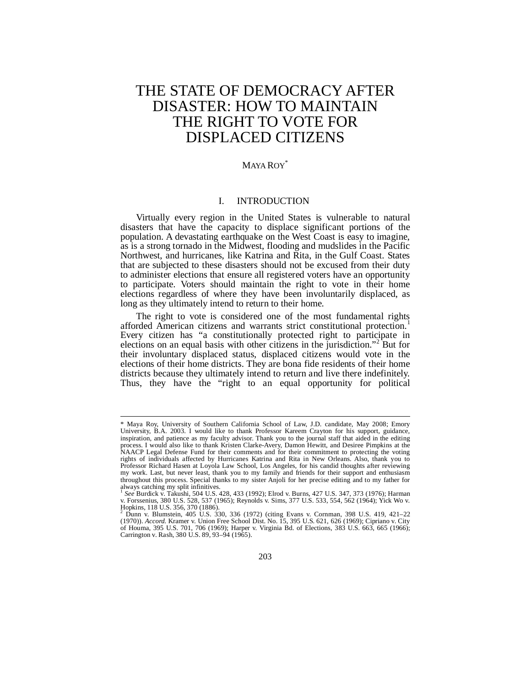# THE STATE OF DEMOCRACY AFTER DISASTER: HOW TO MAINTAIN THE RIGHT TO VOTE FOR DISPLACED CITIZENS

## MAYA ROY<sup>\*</sup>

## I. INTRODUCTION

Virtually every region in the United States is vulnerable to natural disasters that have the capacity to displace significant portions of the population. A devastating earthquake on the West Coast is easy to imagine, as is a strong tornado in the Midwest, flooding and mudslides in the Pacific Northwest, and hurricanes, like Katrina and Rita, in the Gulf Coast. States that are subjected to these disasters should not be excused from their duty to administer elections that ensure all registered voters have an opportunity to participate. Voters should maintain the right to vote in their home elections regardless of where they have been involuntarily displaced, as long as they ultimately intend to return to their home.

The right to vote is considered one of the most fundamental rights afforded American citizens and warrants strict constitutional protection.<sup>1</sup> Every citizen has "a constitutionally protected right to participate in elections on an equal basis with other citizens in the jurisdiction."<sup>2</sup> But for their involuntary displaced status, displaced citizens would vote in the elections of their home districts. They are bona fide residents of their home districts because they ultimately intend to return and live there indefinitely. Thus, they have the "right to an equal opportunity for political

<sup>\*</sup> Maya Roy, University of Southern California School of Law, J.D. candidate, May 2008; Emory University, B.A. 2003. I would like to thank Professor Kareem Crayton for his support, guidance, inspiration, and patience as my faculty advisor. Thank you to the journal staff that aided in the editing process. I would also like to thank Kristen Clarke-Avery, Damon Hewitt, and Desiree Pimpkins at the NAACP Legal Defense Fund for their comments and for their commitment to protecting the voting rights of individuals affected by Hurricanes Katrina and Rita in New Orleans. Also, thank you to Professor Richard Hasen at Loyola Law School, Los Angeles, for his candid thoughts after reviewing my work. Last, but never least, thank you to my family and friends for their support and enthusiasm throughout this process. Special thanks to my sister Anjoli for her precise editing and to my father for always catching my split infinitives.

*See* Burdick v. Takushi, 504 U.S. 428, 433 (1992); Elrod v. Burns, 427 U.S. 347, 373 (1976); Harman v. Forssenius, 380 U.S. 528, 537 (1965); Reynolds v. Sims, 377 U.S. 533, 554, 562 (1964); Yick Wo v. Hopkins, 118 U.S. 356, 370 (1886).<br><sup>2</sup> Dunn v. Plumetein, 405, U.S. 33

Dunn v. Blumstein, 405 U.S. 330, 336 (1972) (citing Evans v. Cornman, 398 U.S. 419, 421–22 (1970)). *Accord.* Kramer v. Union Free School Dist. No. 15, 395 U.S. 621, 626 (1969); Cipriano v. City of Houma, 395 U.S. 701, 706 (1969); Harper v. Virginia Bd. of Elections, 383 U.S. 663, 665 (1966); Carrington v. Rash, 380 U.S. 89, 93–94 (1965).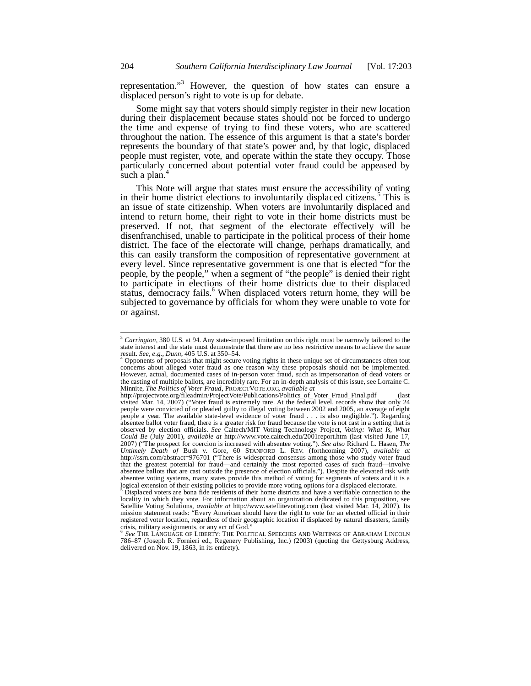representation."<sup>3</sup> However, the question of how states can ensure a displaced person's right to vote is up for debate.

Some might say that voters should simply register in their new location during their displacement because states should not be forced to undergo the time and expense of trying to find these voters, who are scattered throughout the nation. The essence of this argument is that a state's border represents the boundary of that state's power and, by that logic, displaced people must register, vote, and operate within the state they occupy. Those particularly concerned about potential voter fraud could be appeased by such a plan.<sup>4</sup>

This Note will argue that states must ensure the accessibility of voting in their home district elections to involuntarily displaced citizens.<sup>5</sup> This is an issue of state citizenship. When voters are involuntarily displaced and intend to return home, their right to vote in their home districts must be preserved. If not, that segment of the electorate effectively will be disenfranchised, unable to participate in the political process of their home district. The face of the electorate will change, perhaps dramatically, and this can easily transform the composition of representative government at every level. Since representative government is one that is elected "for the people, by the people," when a segment of "the people" is denied their right to participate in elections of their home districts due to their displaced status, democracy fails.<sup>6</sup> When displaced voters return home, they will be subjected to governance by officials for whom they were unable to vote for or against.

<sup>&</sup>lt;sup>3</sup> Carrington, 380 U.S. at 94. Any state-imposed limitation on this right must be narrowly tailored to the state interest and the state must demonstrate that there are no less restrictive means to achieve the same result. *See, e.g., Dunn*, 405 U.S. at 350–54. 4

Opponents of proposals that might secure voting rights in these unique set of circumstances often tout concerns about alleged voter fraud as one reason why these proposals should not be implemented. However, actual, documented cases of in-person voter fraud, such as impersonation of dead voters or the casting of multiple ballots, are incredibly rare. For an in-depth analysis of this issue, see Lorraine C. Minnite, *The Politics of Voter Fraud*, PROJECTVOTE.ORG, *available at*

http://projectvote.org/fileadmin/ProjectVote/Publications/Politics\_of\_Voter\_Fraud\_Final.pdf (last visited Mar. 14, 2007) ("Voter fraud is extremely rare. At the federal level, records show that only 24 people were convicted of or pleaded guilty to illegal voting between 2002 and 2005, an average of eight people a year. The available state-level evidence of voter fraud . . . is also negligible."). Regarding absentee ballot voter fraud, there is a greater risk for fraud because the vote is not cast in a setting that is observed by election officials. *See* Caltech/MIT Voting Technology Project, *Voting: What Is, What Could Be* (July 2001), *available at* http://www.vote.caltech.edu/2001report.htm (last visited June 17, 2007) ("The prospect for coercion is increased with absentee voting."). *See also* Richard L. Hasen, *The Untimely Death of* Bush v. Gore, 60 STANFORD L. REV. (forthcoming 2007), *available at* http://ssrn.com/abstract=976701 ("There is widespread consensus among those who study voter fraud that the greatest potential for fraud—and certainly the most reported cases of such fraud—involve absentee ballots that are cast outside the presence of election officials."). Despite the elevated risk with absentee voting systems, many states provide this method of voting for segments of voters and it is a logical extension of their existing policies to provide more voting options for a displaced electorate.<br><sup>5</sup> Displaced voters are bona fide residents of their home districts and have a verifiable connection to the

locality in which they vote. For information about an organization dedicated to this proposition, see Satellite Voting Solutions, *available at* http://www.satellitevoting.com (last visited Mar. 14, 2007). Its mission statement reads: "Every American should have the right to vote for an elected official in their registered voter location, regardless of their geographic location if displaced by natural disasters, family crisis, military assignments, or any act of God." 6 *See* THE LANGUAGE OF LIBERTY: THE POLITICAL SPEECHES AND WRITINGS OF ABRAHAM LINCOLN

<sup>786–87 (</sup>Joseph R. Fornieri ed., Regenery Publishing, Inc.) (2003) (quoting the Gettysburg Address, delivered on Nov. 19, 1863, in its entirety).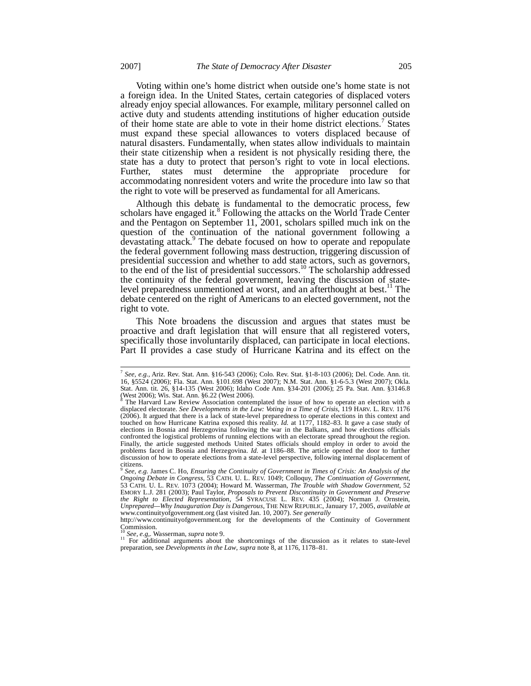Voting within one's home district when outside one's home state is not a foreign idea. In the United States, certain categories of displaced voters already enjoy special allowances. For example, military personnel called on active duty and students attending institutions of higher education outside of their home state are able to vote in their home district elections.<sup>7</sup> States must expand these special allowances to voters displaced because of natural disasters. Fundamentally, when states allow individuals to maintain their state citizenship when a resident is not physically residing there, the state has a duty to protect that person's right to vote in local elections. Further, states must determine the appropriate procedure for accommodating nonresident voters and write the procedure into law so that the right to vote will be preserved as fundamental for all Americans.

Although this debate is fundamental to the democratic process, few scholars have engaged it.<sup>8</sup> Following the attacks on the World Trade Center and the Pentagon on September 11, 2001, scholars spilled much ink on the question of the continuation of the national government following a devastating attack.<sup>9</sup> The debate focused on how to operate and repopulate the federal government following mass destruction, triggering discussion of presidential succession and whether to add state actors, such as governors, to the end of the list of presidential successors.<sup>10</sup> The scholarship addressed the continuity of the federal government, leaving the discussion of statelevel preparedness unmentioned at worst, and an afterthought at best.<sup>11</sup> The debate centered on the right of Americans to an elected government, not the right to vote.

This Note broadens the discussion and argues that states must be proactive and draft legislation that will ensure that all registered voters, specifically those involuntarily displaced, can participate in local elections. Part II provides a case study of Hurricane Katrina and its effect on the

<sup>7</sup> *See, e.g.,* Ariz. Rev. Stat. Ann. §16-543 (2006); Colo. Rev. Stat. §1-8-103 (2006); Del. Code. Ann. tit. 16, §5524 (2006); Fla. Stat. Ann. §101.698 (West 2007); N.M. Stat. Ann. §1-6-5.3 (West 2007); Okla. Stat. Ann. tit. 26, §14-135 (West 2006); Idaho Code Ann. §34-201 (2006); 25 Pa. Stat. Ann. §3146.8 (West 2006); Wis. Stat. Ann. §6.22 (West 2006). 8

The Harvard Law Review Association contemplated the issue of how to operate an election with a displaced electorate. *See Developments in the Law: Voting in a Time of Crisis*, 119 HARV. L. REV. 1176 (2006). It argued that there is a lack of state-level preparedness to operate elections in this context and touched on how Hurricane Katrina exposed this reality. *Id.* at 1177, 1182–83. It gave a case study of elections in Bosnia and Herzegovina following the war in the Balkans, and how elections officials confronted the logistical problems of running elections with an electorate spread throughout the region. Finally, the article suggested methods United States officials should employ in order to avoid the problems faced in Bosnia and Herzegovina. *Id.* at 1186–88. The article opened the door to further discussion of how to operate elections from a state-level perspective, following internal displacement of citizens. 9

*See, e.g.* James C. Ho, *Ensuring the Continuity of Government in Times of Crisis: An Analysis of the Ongoing Debate in Congress*, 53 CATH. U. L. REV. 1049; Colloquy, *The Continuation of Government*, 53 CATH. U. L. REV. 1073 (2004); Howard M. Wasserman, *The Trouble with Shadow Government*, 52 EMORY L.J. 281 (2003); Paul Taylor, *Proposals to Prevent Discontinuity in Government and Preserve the Right to Elected Representation*, 54 SYRACUSE L. REV. 435 (2004); Norman J. Ornstein, *Unprepared—Why Inauguration Day is Dangerous*, THE NEW REPUBLIC, January 17, 2005, *available at* www.continuityofgovernment.org (last visited Jan. 10, 2007). *See generally*

http://www.continuityofgovernment.org for the developments of the Continuity of Government Commission. <sup>10</sup> *See, e.g,.* Wasserman, *supra* note 9. <sup>11</sup> For additional arguments about the shortcomings of the discussion as it relates to state-level

preparation, see *Developments in the Law*, *supra* note 8, at 1176, 1178–81.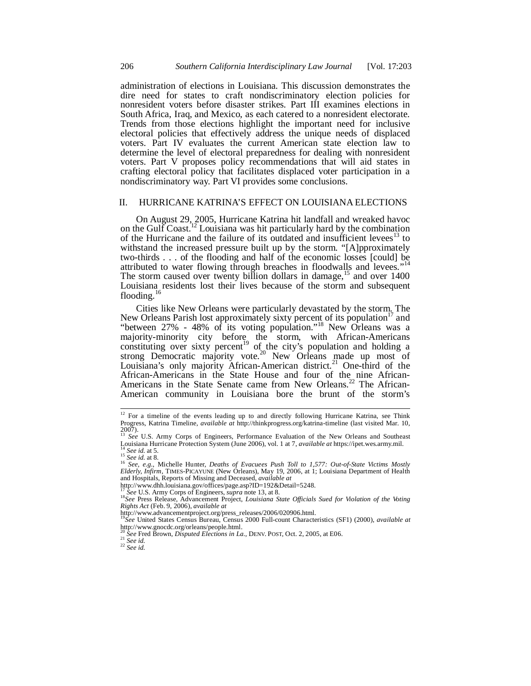administration of elections in Louisiana. This discussion demonstrates the dire need for states to craft nondiscriminatory election policies for nonresident voters before disaster strikes. Part III examines elections in South Africa, Iraq, and Mexico, as each catered to a nonresident electorate. Trends from those elections highlight the important need for inclusive electoral policies that effectively address the unique needs of displaced voters. Part IV evaluates the current American state election law to determine the level of electoral preparedness for dealing with nonresident voters. Part V proposes policy recommendations that will aid states in crafting electoral policy that facilitates displaced voter participation in a nondiscriminatory way. Part VI provides some conclusions.

# II. HURRICANE KATRINA'S EFFECT ON LOUISIANA ELECTIONS

On August 29, 2005, Hurricane Katrina hit landfall and wreaked havoc on the Gulf Coast.<sup>12</sup> Louisiana was hit particularly hard by the combination of the Hurricane and the failure of its outdated and insufficient levees<sup>13</sup> to withstand the increased pressure built up by the storm. "[A]pproximately two-thirds . . . of the flooding and half of the economic losses [could] be attributed to water flowing through breaches in floodwalls and levees."<sup>14</sup> The storm caused over twenty billion dollars in damage,  $\frac{15}{5}$  and over 1400 Louisiana residents lost their lives because of the storm and subsequent flooding.<sup>16</sup>

Cities like New Orleans were particularly devastated by the storm. The New Orleans Parish lost approximately sixty percent of its population<sup>17</sup> and "between 27% - 48% of its voting population."<sup>18</sup> New Orleans was a majority-minority city before the storm, with African-Americans constituting over sixty percent<sup>19</sup> of the city's population and holding a strong Democratic majority vote.<sup>20</sup> New Orleans made up most of Louisiana's only majority African-American district.<sup>21</sup> One-third of the African-Americans in the State House and four of the nine African-Americans in the State Senate came from New Orleans.<sup>22</sup> The African-American community in Louisiana bore the brunt of the storm's

<sup>&</sup>lt;sup>12</sup> For a timeline of the events leading up to and directly following Hurricane Katrina, see Think Progress, Katrina Timeline, *available at* http://thinkprogress.org/katrina-timeline (last visited Mar. 10, 2007). <sup>13</sup> *See* U.S. Army Corps of Engineers, Performance Evaluation of the New Orleans and Southeast

Louisiana Hurricane Protection System (June 2006), vol. 1 at 7, *available at* https://ipet.wes.army.mil. <sup>14</sup> *See id.* at 5. <sup>15</sup> *See id.* at 8.

<sup>&</sup>lt;sup>16</sup> See, e.g., Michelle Hunter, *Deaths of Evacuees Push Toll to 1,577: Out-of-State Victims Mostly*<br>*Elderly, Infirm*, TIMES-PICAYUNE (New Orleans), May 19, 2006, at 1; Louisiana Department of Health and Hospitals, Reports of Missing and Deceased, *available at*

http://www.dhh.louisiana.gov/offices/page.asp?ID=192&Detail=5248. <sup>17</sup> *See* U.S. Army Corps of Engineers, *supra* note 13, at 8.

<sup>18</sup>*See* Press Release, Advancement Project, *Louisiana State Officials Sued for Violation of the Voting Rights Act* (Feb. 9, 2006), *available at*

http://www.advancementproject.org/press\_releases/2006/020906.html. <sup>19</sup>*See* United States Census Bureau, Census 2000 Full-count Characteristics (SF1) (2000), *available at* http://www.gnocdc.org/orleans/people.html. <sup>20</sup> *See* Fred Brown, *Disputed Elections in La.*, DENV. POST, Oct. 2, 2005, at E06.

<sup>21</sup> *See id.*

<sup>22</sup> *See id.*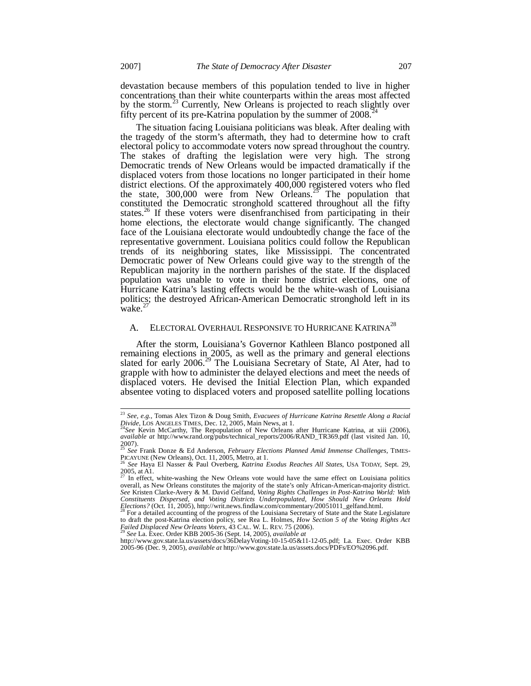devastation because members of this population tended to live in higher concentrations than their white counterparts within the areas most affected by the storm.<sup>23</sup> Currently, New Orleans is projected to reach slightly over fifty percent of its pre-Katrina population by the summer of 2008.

The situation facing Louisiana politicians was bleak. After dealing with the tragedy of the storm's aftermath, they had to determine how to craft electoral policy to accommodate voters now spread throughout the country. The stakes of drafting the legislation were very high. The strong Democratic trends of New Orleans would be impacted dramatically if the displaced voters from those locations no longer participated in their home district elections. Of the approximately 400,000 registered voters who fled the state,  $300,000$  were from New Orleans.<sup>25</sup> The population that constituted the Democratic stronghold scattered throughout all the fifty states.<sup>26</sup> If these voters were disenfranchised from participating in their home elections, the electorate would change significantly. The changed face of the Louisiana electorate would undoubtedly change the face of the representative government. Louisiana politics could follow the Republican trends of its neighboring states, like Mississippi. The concentrated Democratic power of New Orleans could give way to the strength of the Republican majority in the northern parishes of the state. If the displaced population was unable to vote in their home district elections, one of Hurricane Katrina's lasting effects would be the white-wash of Louisiana politics; the destroyed African-American Democratic stronghold left in its wake.

## A. ELECTORAL OVERHAUL RESPONSIVE TO HURRICANE KATRINA<sup>28</sup>

After the storm, Louisiana's Governor Kathleen Blanco postponed all remaining elections in 2005, as well as the primary and general elections slated for early  $2006.<sup>29</sup>$  The Louisiana Secretary of State, Al Ater, had to grapple with how to administer the delayed elections and meet the needs of displaced voters. He devised the Initial Election Plan, which expanded absentee voting to displaced voters and proposed satellite polling locations

<sup>23</sup> *See, e.g.,* Tomas Alex Tizon & Doug Smith, *Evacuees of Hurricane Katrina Resettle Along a Racial Divide*, LOS ANGELES TIMES, Dec. 12, 2005, Main News, at 1. <sup>24</sup>*See* Kevin McCarthy, The Repopulation of New Orleans after Hurricane Katrina, at xiii (2006),

*available at* http://www.rand.org/pubs/technical\_reports/2006/RAND\_TR369.pdf (last visited Jan. 10,  $2007$ ).

<sup>25</sup> *See* Frank Donze & Ed Anderson, *February Elections Planned Amid Immense Challenges*, TIMES-PICAYUNE (New Orleans), Oct. 11, 2005, Metro, at 1. <sup>26</sup> *See* Haya El Nasser & Paul Overberg, *Katrina Exodus Reaches All States*, USA TODAY, Sept. 29,

 $2005$ , at A1.

In effect, white-washing the New Orleans vote would have the same effect on Louisiana politics overall, as New Orleans constitutes the majority of the state's only African-American-majority district. *See* Kristen Clarke-Avery & M. David Gelfand, *Voting Rights Challenges in Post-Katrina World: With Constituents Dispersed, and Voting Districts Underpopulated, How Should New Orleans Hold Elections?* (Oct. 11, 2005), http://writ.news.findlaw.com/commentary/20051011\_gelfand.html.<br><sup>28</sup> For a detailed accounting of the progress of the Louisiana Secretary of State and the State Legislature

to draft the post-Katrina election policy, see Rea L. Holmes, *How Section 5 of the Voting Rights Act Failed Displaced New Orleans Voters*, 43 CAL. W. L. REV. 75 (2006). <sup>29</sup> *See* La. Exec. Order KBB 2005-36 (Sept. 14, 2005), *available at*

http://www.gov.state.la.us/assets/docs/36DelayVoting-10-15-05&11-12-05.pdf; La. Exec. Order KBB 2005-96 (Dec. 9, 2005), *available at* http://www.gov.state.la.us/assets.docs/PDFs/EO%2096.pdf.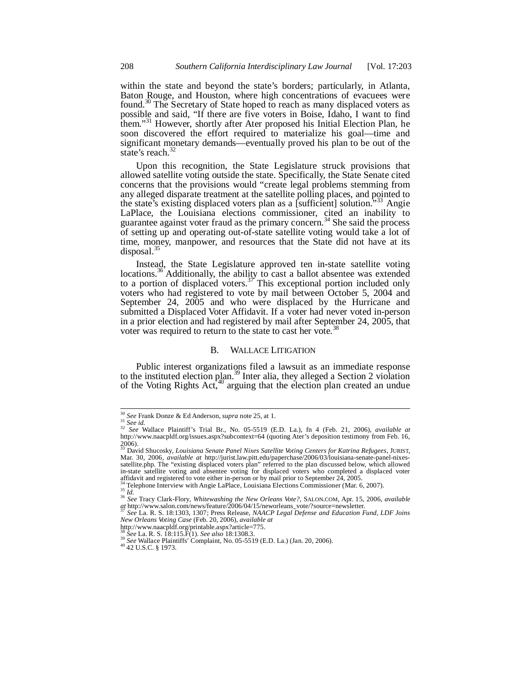within the state and beyond the state's borders; particularly, in Atlanta, Baton Rouge, and Houston, where high concentrations of evacuees were found.<sup>30</sup> The Secretary of State hoped to reach as many displaced voters as possible and said, "If there are five voters in Boise, Idaho, I want to find them."<sup>31</sup> However, shortly after Ater proposed his Initial Election Plan, he soon discovered the effort required to materialize his goal—time and significant monetary demands—eventually proved his plan to be out of the state's reach.<sup>32</sup>

Upon this recognition, the State Legislature struck provisions that allowed satellite voting outside the state. Specifically, the State Senate cited concerns that the provisions would "create legal problems stemming from any alleged disparate treatment at the satellite polling places, and pointed to the state's existing displaced voters plan as a [sufficient] solution."<sup>33</sup> Angie LaPlace, the Louisiana elections commissioner, cited an inability to guarantee against voter fraud as the primary concern.<sup>34</sup> She said the process of setting up and operating out-of-state satellite voting would take a lot of time, money, manpower, and resources that the State did not have at its disposal.<sup>35</sup>

Instead, the State Legislature approved ten in-state satellite voting locations.<sup>36</sup> Additionally, the ability to cast a ballot absentee was extended to a portion of displaced voters. $37$  This exceptional portion included only voters who had registered to vote by mail between October 5, 2004 and September 24, 2005 and who were displaced by the Hurricane and submitted a Displaced Voter Affidavit. If a voter had never voted in-person in a prior election and had registered by mail after September 24, 2005, that voter was required to return to the state to cast her vote.<sup>38</sup>

#### B. WALLACE LITIGATION

Public interest organizations filed a lawsuit as an immediate response to the instituted election plan.<sup>39</sup> Inter alia, they alleged a Section 2 violation of the Voting Rights Act, $40$  arguing that the election plan created an undue

<sup>30</sup> *See* Frank Donze & Ed Anderson, *supra* note 25*,* at 1.

<sup>&</sup>lt;sup>31</sup> See id.<br><sup>32</sup> See Wallace Plaintiff's Trial Br., No. 05-5519 (E.D. La.), fn 4 (Feb. 21, 2006), *available at*<br>http://www.naacpldf.org/issues.aspx?subcontext=64 (quoting Ater's deposition testimony from Feb. 16, 2006). <sup>33</sup> David Shucosky, *Louisiana Senate Panel Nixes Satellite Voting Centers for Katrina Refugees*, JURIST,

Mar. 30, 2006, *available at* http://jurist.law.pitt.edu/paperchase/2006/03/louisiana-senate-panel-nixessatellite.php. The "existing displaced voters plan" referred to the plan discussed below, which allowed in-state satellite voting and absentee voting for displaced voters who completed a displaced voter affidavit and registered to vote either in-person or by mail prior to September 24, 2005.

<sup>&</sup>lt;sup>34</sup> Telephone Interview with Angie LaPlace, Louisiana Elections Commissioner (Mar. 6, 2007).<br> *M. Id.* 

<sup>36</sup> *See* Tracy Clark-Flory, *Whitewashing the New Orleans Vote?*, SALON.COM, Apr. 15, 2006, *available at* http://www.salon.com/news/feature/2006/04/15/neworleans\_vote/?source=newsletter. <sup>37</sup> *See* La. R. S. 18:1303, 1307; Press Release, *NAACP Legal Defense and Education Fund, LDF Joins*

*New Orleans Voting Case* (Feb. 20, 2006), *available at*

http://www.naacpldf.org/printable.aspx?article=775. <sup>38</sup> *See* La. R. S. 18:115.F(1). *See also* 18:1308.3.

<sup>&</sup>lt;sup>39</sup> *See* Wallace Plaintiffs' Complaint, No. 05-5519 (E.D. La.) (Jan. 20, 2006).

<sup>40</sup> 42 U.S.C. § 1973.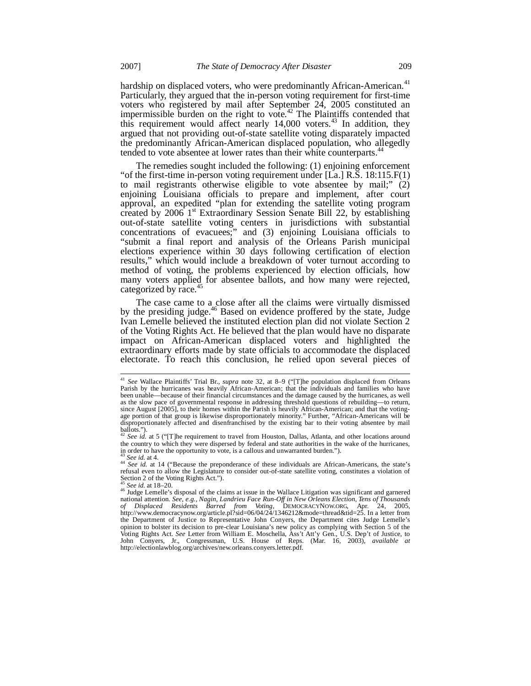hardship on displaced voters, who were predominantly African-American.<sup>41</sup> Particularly, they argued that the in-person voting requirement for first-time voters who registered by mail after September 24, 2005 constituted an impermissible burden on the right to vote. $42$  The Plaintiffs contended that this requirement would affect nearly  $14,000$  voters.<sup>43</sup> In addition, they argued that not providing out-of-state satellite voting disparately impacted the predominantly African-American displaced population, who allegedly tended to vote absentee at lower rates than their white counterparts.<sup>4</sup>

The remedies sought included the following: (1) enjoining enforcement "of the first-time in-person voting requirement under [La.] R.S. 18:115.F(1) to mail registrants otherwise eligible to vote absentee by mail;" (2) enjoining Louisiana officials to prepare and implement, after court approval, an expedited "plan for extending the satellite voting program created by  $2006 \, 1^{\text{st}}$  Extraordinary Session Senate Bill 22, by establishing out-of-state satellite voting centers in jurisdictions with substantial concentrations of evacuees;" and (3) enjoining Louisiana officials to "submit a final report and analysis of the Orleans Parish municipal elections experience within 30 days following certification of election results," which would include a breakdown of voter turnout according to method of voting, the problems experienced by election officials, how many voters applied for absentee ballots, and how many were rejected, categorized by race.<sup>45</sup>

The case came to a close after all the claims were virtually dismissed by the presiding judge.<sup>46</sup> Based on evidence proffered by the state, Judge Ivan Lemelle believed the instituted election plan did not violate Section 2 of the Voting Rights Act. He believed that the plan would have no disparate impact on African-American displaced voters and highlighted the extraordinary efforts made by state officials to accommodate the displaced electorate. To reach this conclusion, he relied upon several pieces of

<sup>41</sup> *See* Wallace Plaintiffs' Trial Br., *supra* note 32, at 8–9 ("[T]he population displaced from Orleans Parish by the hurricanes was heavily African-American; that the individuals and families who have been unable—because of their financial circumstances and the damage caused by the hurricanes, as well as the slow pace of governmental response in addressing threshold questions of rebuilding—to return, since August [2005], to their homes within the Parish is heavily African-American; and that the voting-age portion of that group is likewise disproportionately minority." Further, "African-Americans will be disproportionately affected and disenfranchised by the existing bar to their voting absentee by mail

ballots."). <sup>42</sup> *See id.* at 5 ("[T]he requirement to travel from Houston, Dallas, Atlanta, and other locations around the country to which they were dispersed by federal and state authorities in the wake of the hurricanes, in order to have the opportunity to vote, is a callous and unwarranted burden."). <sup>43</sup> *See id.* at 4.

<sup>44</sup> *See id.* at 14 ("Because the preponderance of these individuals are African-Americans, the state's refusal even to allow the Legislature to consider out-of-state satellite voting, constitutes a violation of Section 2 of the Voting Rights Act.").

<sup>45</sup> *See id.* at 18–20.

<sup>&</sup>lt;sup>46</sup> Judge Lemelle's disposal of the claims at issue in the Wallace Litigation was significant and garnered national attention. *See, e.g., Nagin, Landrieu Face Run-Off in New Orleans Election, Tens of Thousands of Displaced Residents Barred from Voting*, DEMOCRACYNOW.ORG, Apr. 24, 2005, http://www.democracynow.org/article.pl?sid=06/04/24/1346212&mode=thread&tid=25. In a letter from the Department of Justice to Representative John Conyers, the Department cites Judge Lemelle's opinion to bolster its decision to pre-clear Louisiana's new policy as complying with Section 5 of the Voting Rights Act. *See* Letter from William E. Moschella, Ass't Att'y Gen., U.S. Dep't of Justice, to John Conyers, Jr., Congressman, U.S. House of Reps. (Mar. 16, 2003), *available at* http://electionlawblog.org/archives/new.orleans.conyers.letter.pdf.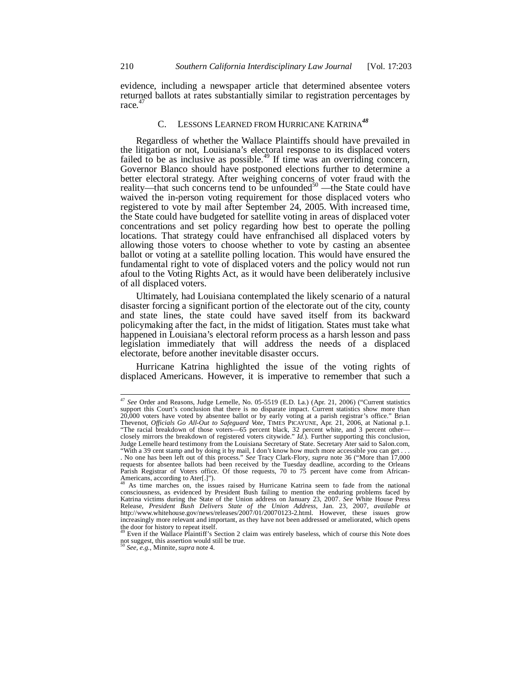evidence, including a newspaper article that determined absentee voters returned ballots at rates substantially similar to registration percentages by race.<sup>47</sup>

# C. LESSONS LEARNED FROM HURRICANE KATRINA*<sup>48</sup>*

Regardless of whether the Wallace Plaintiffs should have prevailed in the litigation or not, Louisiana's electoral response to its displaced voters failed to be as inclusive as possible.<sup>49</sup> If time was an overriding concern, Governor Blanco should have postponed elections further to determine a better electoral strategy. After weighing concerns of voter fraud with the reality—that such concerns tend to be unfounded<sup>50</sup> —the State could have waived the in-person voting requirement for those displaced voters who registered to vote by mail after September 24, 2005. With increased time, the State could have budgeted for satellite voting in areas of displaced voter concentrations and set policy regarding how best to operate the polling locations. That strategy could have enfranchised all displaced voters by allowing those voters to choose whether to vote by casting an absentee ballot or voting at a satellite polling location. This would have ensured the fundamental right to vote of displaced voters and the policy would not run afoul to the Voting Rights Act, as it would have been deliberately inclusive of all displaced voters.

Ultimately, had Louisiana contemplated the likely scenario of a natural disaster forcing a significant portion of the electorate out of the city, county and state lines, the state could have saved itself from its backward policymaking after the fact, in the midst of litigation. States must take what happened in Louisiana's electoral reform process as a harsh lesson and pass legislation immediately that will address the needs of a displaced electorate, before another inevitable disaster occurs.

Hurricane Katrina highlighted the issue of the voting rights of displaced Americans. However, it is imperative to remember that such a

<sup>47</sup> *See* Order and Reasons, Judge Lemelle, No. 05-5519 (E.D. La.) (Apr. 21, 2006) ("Current statistics support this Court's conclusion that there is no disparate impact. Current statistics show more than  $20,000$  voters have voted by absentee ballot or by early voting at a parish registrar's office." Brian Thevenot, *Officials Go All-Out to Safeguard Vote*, TIMES PICAYUNE, Apr. 21, 2006, at National p.1.<br>"The racial breakdown of those voters—65 percent black, 32 percent white, and 3 percent other—<br>closely mirrors the breakdo Judge Lemelle heard testimony from the Louisiana Secretary of State. Secretary Ater said to Salon.com, "With a 39 cent stamp and by doing it by mail, I don't know how much more accessible you can get.

<sup>.</sup> No one has been left out of this process." *See* Tracy Clark-Flory, *supra* note 36 ("More than 17,000 requests for absentee ballots had been received by the Tuesday deadline, according to the Orleans Parish Registrar of Voters office. Of those requests, 70 to 75 percent have come from African-Americans, according to Ater[.]").

<sup>&</sup>lt;sup>48</sup> As time marches on, the issues raised by Hurricane Katrina seem to fade from the national consciousness, as evidenced by President Bush failing to mention the enduring problems faced by Katrina victims during the State of the Union address on January 23, 2007. *See* White House Press Release, *President Bush Delivers State of the Union Address*, Jan. 23, 2007, *available at* http://www.whitehouse.gov/news/releases/2007/01/20070123-2.html. However, these issues grow increasingly more relevant and important, as they have not been addressed or ameliorated, which opens the door for history to repeat itself.

Even if the Wallace Plaintiff's Section 2 claim was entirely baseless, which of course this Note does not suggest, this assertion would still be true. <sup>50</sup> *See, e.g.*, Minnite, *supra* note 4.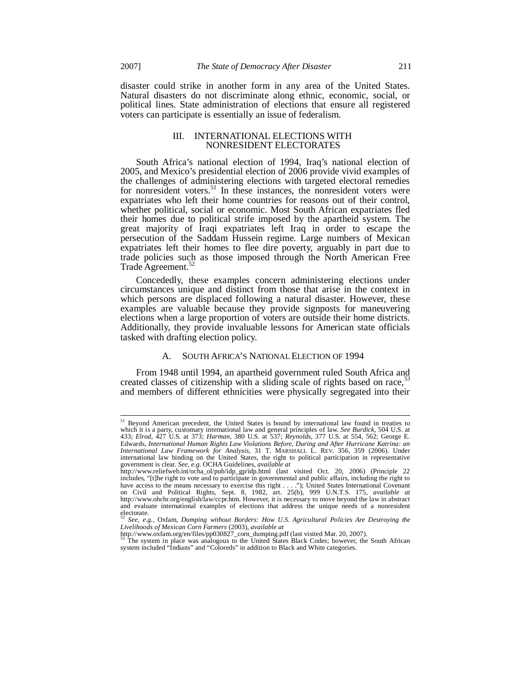disaster could strike in another form in any area of the United States. Natural disasters do not discriminate along ethnic, economic, social, or political lines. State administration of elections that ensure all registered

voters can participate is essentially an issue of federalism.

### III. INTERNATIONAL ELECTIONS WITH NONRESIDENT ELECTORATES

South Africa's national election of 1994, Iraq's national election of 2005, and Mexico's presidential election of 2006 provide vivid examples of the challenges of administering elections with targeted electoral remedies for nonresident voters.<sup>51</sup> In these instances, the nonresident voters were expatriates who left their home countries for reasons out of their control, whether political, social or economic. Most South African expatriates fled their homes due to political strife imposed by the apartheid system. The great majority of Iraqi expatriates left Iraq in order to escape the persecution of the Saddam Hussein regime. Large numbers of Mexican expatriates left their homes to flee dire poverty, arguably in part due to trade policies such as those imposed through the North American Free Trade Agreement.<sup>52</sup>

Concededly, these examples concern administering elections under circumstances unique and distinct from those that arise in the context in which persons are displaced following a natural disaster. However, these examples are valuable because they provide signposts for maneuvering elections when a large proportion of voters are outside their home districts. Additionally, they provide invaluable lessons for American state officials tasked with drafting election policy.

### SOUTH AFRICA'S NATIONAL ELECTION OF 1994

From 1948 until 1994, an apartheid government ruled South Africa and created classes of citizenship with a sliding scale of rights based on race,<sup>5</sup> and members of different ethnicities were physically segregated into their

<sup>&</sup>lt;sup>51</sup> Beyond American precedent, the United States is bound by international law found in treaties to which it is a party, customary international law and general principles of law. *See Burdick*, 504 U.S. at 433; *Elrod*, 427 U.S. at 373; *Harman*, 380 U.S. at 537; *Reynolds*, 377 U.S. at 554, 562; George E. Edwards, *International Human Rights Law Violations Before, During and After Hurricane Katrina: an International Law Framework for Analysis*, 31 T. MARSHALL L. REV. 356, 359 (2006). Under international law binding on the United States, the right to political participation in representative

government is clear. *See, e.g.* OCHA Guidelines, *available at*<br>http://www.reliefweb.int/ocha\_ol/pub/idp\_gp/idp.html (last visited Oct. 20, 2006) (Principle 22<br>includes, "[t]he right to vote and to participate in governme have access to the means necessary to exercise this right . . . ."); United States International Covenant on Civil and Political Rights, Sept. 8, 1982, art. 25(b), 999 U.N.T.S. 175, *available at* http://www.ohchr.org/english/law/ccpr.htm. However, it is necessary to move beyond the law in abstract and evaluate international examples of elections that address the unique needs of a nonresident electorate.

<sup>52</sup> *See, e.g.,* Oxfam, *Dumping without Borders: How U.S. Agricultural Policies Are Destroying the Livelihoods of Mexican Corn Farmers* (2003), *available at* http://www.oxfam.org/en/files/pp030827\_corn\_dumping.pdf (last visited Mar. 20, 2007).

The system in place was analogous to the United States Black Codes; however, the South African system included "Indians" and "Coloreds" in addition to Black and White categories.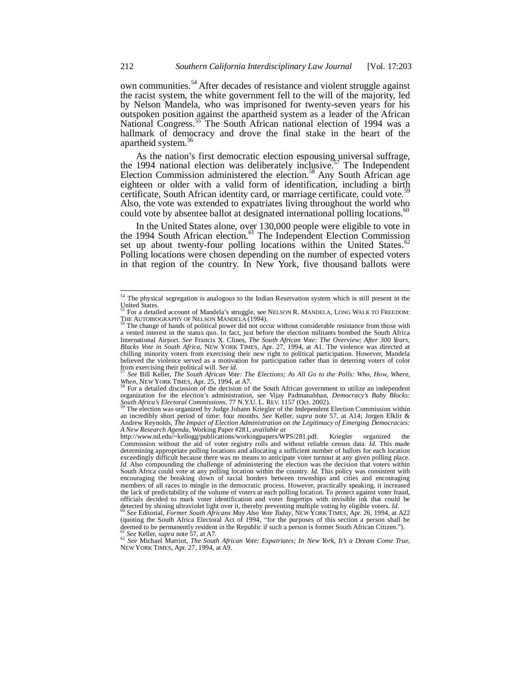own communities.<sup>54</sup> After decades of resistance and violent struggle against the racist system, the white government fell to the will of the majority, led by Nelson Mandela, who was imprisoned for twenty-seven years for his outspoken position against the apartheid system as a leader of the African National Congress.<sup>55</sup> The South African national election of 1994 was a hallmark of democracy and drove the final stake in the heart of the apartheid system.<sup>56</sup>

As the nation's first democratic election espousing universal suffrage, the 1994 national election was deliberately inclusive.<sup>57</sup> The Independent Election Commission administered the election.<sup>58</sup> Any South African age eighteen or older with a valid form of identification, including a birth certificate, South African identity card, or marriage certificate, could vote.<sup>5</sup> Also, the vote was extended to expatriates living throughout the world who could vote by absentee ballot at designated international polling locations.<sup>60</sup>

In the United States alone, over 130,000 people were eligible to vote in the 1994 South African election.<sup>61</sup> The Independent Election Commission set up about twenty-four polling locations within the United States.<sup>6</sup> Polling locations were chosen depending on the number of expected voters in that region of the country. In New York, five thousand ballots were

<sup>58</sup> For a detailed discussion of the decision of the South African government to utilize an independent organization for the election's administration, see Vijay Padmanabhan, *Democracy's Baby Blocks: South Africa's Electoral Commissions*, 77 N.Y.U. L. REV. 1157 (Oct. 2002).

The election was organized by Judge Johann Kriegler of the Independent Election Commission within an incredibly short period of time: four months. *See* Keller, *supra* note 57, at A14; Jorgen Elklit & Andrew Reynolds, *The Impact of Election Administration on the Legitimacy of Emerging Democracies: A New Research Agenda*, Working Paper #281, *available at*

<sup>54</sup> The physical segregation is analogous to the Indian Reservation system which is still present in the United States.

<sup>55</sup> For a detailed account of Mandela's struggle, see NELSON R. MANDELA, LONG WALK TO FREEDOM: THE AUTOBIOGRAPHY OF NELSON MANDELA (1994).

The change of hands of political power did not occur without considerable resistance from those with a vested interest in the status quo. In fact, just before the election militants bombed the South Africa International Airport. *See* Francis X. Clines, *The South African Vote: The Overview; After 300 Years, Blacks Vote in South Africa*, NEW YORK TIMES, Apr. 27, 1994, at A1. The violence was directed at chilling minority voters from exercising their new right to political participation. However, Mandela believed the violence served as a motivation for participation rather than in deterring voters of color from exercising their political will. *See id.*

<sup>57</sup> *See* Bill Keller, *The South African Vote: The Elections; As All Go to the Polls: Who, How, Where, When*, NEW YORK TIMES, Apr. 25, 1994, at A7.

http://www.nd.edu/~kellogg/publications/workingpapers/WPS/281.pdf. Kriegler organized Commission without the aid of voter registry rolls and without reliable census data. *Id.* This made determining appropriate polling locations and allocating a sufficient number of ballots for each location exceedingly difficult because there was no means to anticipate voter turnout at any given polling place. *Id.* Also compounding the challenge of administering the election was the decision that voters within South Africa could vote at any polling location within the country. *Id.* This policy was consistent with encouraging the breaking down of racial borders between townships and cities and encouraging members of all races to mingle in the democratic process. However, practically speaking, it increased the lack of predictability of the volume of voters at each polling location. To protect against voter fraud, officials decided to mark voter identification and voter fingertips with invisible ink that could be detected by shining ultraviolet light over it, thereby preventing multiple voting by eligible voters. *Id.* 

<sup>&</sup>lt;sup>60</sup> See Editorial, *Former South Africans May Also Vote Today*, NEW YORK TIMES, Apr. 26, 1994, at A22 (quoting the South Africa Electoral Act of 1994, "for the purposes of this section a person shall be deemed to be permanently resident in the Republic if such a person is former South African Citizen."). <sup>61</sup> *See* Keller, *supra* note 57, at A7.

<sup>62</sup> *See* Michael Marriot, *The South African Vote: Expatriates; In New York, It's a Dream Come True*, NEW YORK TIMES, Apr. 27, 1994, at A9.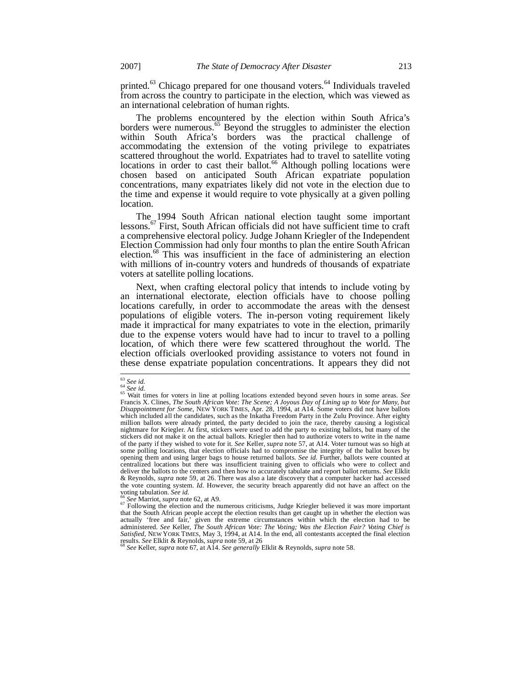printed.<sup>63</sup> Chicago prepared for one thousand voters.<sup>64</sup> Individuals traveled from across the country to participate in the election, which was viewed as an international celebration of human rights.

The problems encountered by the election within South Africa's borders were numerous.<sup>65</sup> Beyond the struggles to administer the election within South Africa's borders was the practical challenge of accommodating the extension of the voting privilege to expatriates scattered throughout the world. Expatriates had to travel to satellite voting locations in order to cast their ballot.<sup>66</sup> Although polling locations were chosen based on anticipated South African expatriate population concentrations, many expatriates likely did not vote in the election due to the time and expense it would require to vote physically at a given polling location.

The 1994 South African national election taught some important lessons.<sup>67</sup> First, South African officials did not have sufficient time to craft a comprehensive electoral policy. Judge Johann Kriegler of the Independent Election Commission had only four months to plan the entire South African election.<sup>68</sup> This was insufficient in the face of administering an election with millions of in-country voters and hundreds of thousands of expatriate voters at satellite polling locations.

Next, when crafting electoral policy that intends to include voting by an international electorate, election officials have to choose polling locations carefully, in order to accommodate the areas with the densest populations of eligible voters. The in-person voting requirement likely made it impractical for many expatriates to vote in the election, primarily due to the expense voters would have had to incur to travel to a polling location, of which there were few scattered throughout the world. The election officials overlooked providing assistance to voters not found in these dense expatriate population concentrations. It appears they did not

<sup>63</sup> *See id.* <sup>64</sup> *See id.*

<sup>65</sup> Wait times for voters in line at polling locations extended beyond seven hours in some areas. *See* Francis X. Clines, *The South African Vote: The Scene; A Joyous Day of Lining up to Vote for Many, but Disappointment for Some*, NEW YORK TIMES, Apr. 28, 1994, at A14. Some voters did not have ballots which included all the candidates, such as the Inkatha Freedom Party in the Zulu Province. After eighty million ballots were already printed, the party decided to join the race, thereby causing a logistical nightmare for Kriegler. At first, stickers were used to add the party to existing ballots, but many of the stickers did not make it on the actual ballots. Kriegler then had to authorize voters to write in the name of the party if they wished to vote for it. *See* Keller, *supra* note 57, at A14. Voter turnout was so high at some polling locations, that election officials had to compromise the integrity of the ballot boxes by opening them and using larger bags to house returned ballots. *See id.* Further, ballots were counted at centralized locations but there was insufficient training given to officials who were to collect and deliver the ballots to the centers and then how to accurately tabulate and report ballot returns. *See* Elklit & Reynolds, *supra* note 59, at 26. There was also a late discovery that a computer hacker had accessed the vote counting system. *Id.* However, the security breach apparently did not have an affect on the voting tabulation. *See id.*

<sup>66</sup> *See* Marriot, *supra* note 62, at A9.

<sup>&</sup>lt;sup>67</sup> Following the election and the numerous criticisms, Judge Kriegler believed it was more important that the South African people accept the election results than get caught up in whether the election was actually 'free and fair,' given the extreme circumstances within which the election had to be administered. See Keller, *The South African Vote: The Voting; Was the Election Fair? Voting Chief is*<br>Satisfied, NEW YORK TIMES, May 3, 1994, at A14. In the end, all contestants accepted the final election results. *See* Elklit & Reynolds, *supra* note 59, at 26

<sup>68</sup> *See* Keller, *supra* note 67, at A14. *See generally* Elklit & Reynolds, *supra* note 58.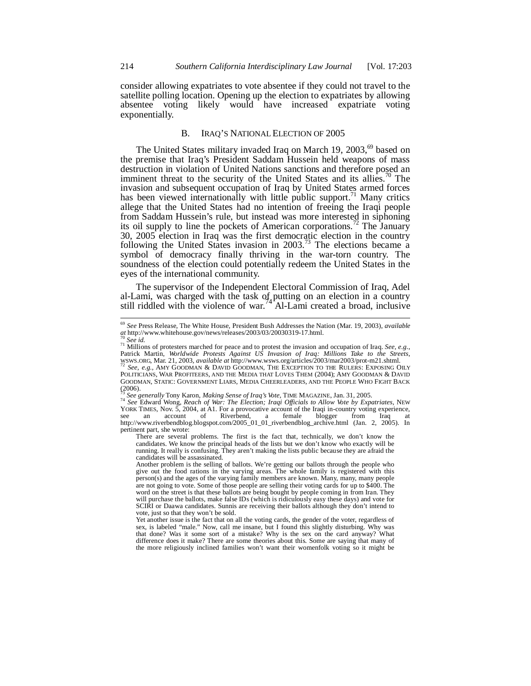consider allowing expatriates to vote absentee if they could not travel to the satellite polling location. Opening up the election to expatriates by allowing absentee voting likely would have increased expatriate voting exponentially.

# B. IRAQ'S NATIONAL ELECTION OF 2005

The United States military invaded Iraq on March 19,  $2003$ ,  $69$  based on the premise that Iraq's President Saddam Hussein held weapons of mass destruction in violation of United Nations sanctions and therefore posed an imminent threat to the security of the United States and its allies.<sup>70</sup> The invasion and subsequent occupation of Iraq by United States armed forces has been viewed internationally with little public support.<sup>71</sup> Many critics allege that the United States had no intention of freeing the Iraqi people from Saddam Hussein's rule, but instead was more interested in siphoning its oil supply to line the pockets of American corporations.<sup>72</sup> The January 30, 2005 election in Iraq was the first democratic election in the country following the United States invasion in  $2003$ .<sup>73</sup> The elections became a symbol of democracy finally thriving in the war-torn country. The soundness of the election could potentially redeem the United States in the eyes of the international community.

The supervisor of the Independent Electoral Commission of Iraq, Adel al-Lami, was charged with the task of putting on an election in a country  $\frac{1}{2}$  still riddled with the violence of war.<sup>74</sup> Al-Lami created a broad, inclusive

<sup>69</sup> *See* Press Release, The White House, President Bush Addresses the Nation (Mar. 19, 2003), *available at* http://www.whitehouse.gov/news/releases/2003/03/20030319-17.html. <sup>70</sup> *See id.*

<sup>&</sup>lt;sup>71</sup> Millions of protesters marched for peace and to protest the invasion and occupation of Iraq. *See, e.g.*, Patrick Martin, *Worldwide Protests Against US Invasion of Iraq: Millions Take to the Streets*, WSWS.ORG, Mar. 21, 2003, *available at* http://www.wsws.org/articles/2003/mar2003/prot-m21.shtml.

<sup>72</sup> *See, e.g.,* AMY GOODMAN & DAVID GOODMAN, THE EXCEPTION TO THE RULERS: EXPOSING OILY POLITICIANS, WAR PROFITEERS, AND THE MEDIA THAT LOVES THEM (2004); AMY GOODMAN & DAVID GOODMAN, STATIC: GOVERNMENT LIARS, MEDIA CHEERLEADERS, AND THE PEOPLE WHO FIGHT BACK  $(2006).$ 

<sup>73</sup> *See generally* Tony Karon, *Making Sense of Iraq's Vote*, TIME MAGAZINE, Jan. 31, 2005.

<sup>&</sup>lt;sup>74</sup> See Edward Wong, *Reach of War: The Election; Iraqi Officials to Allow Vote by Expatriates, NEW* YORK TIMES, Nov. 5, 2004, at A1. For a provocative account of the Iraqi in-country voting experience, see an account of http://www.riverbendblog.blogspot.com/2005\_01\_01\_riverbendblog\_archive.html (Jan. 2, 2005). In pertinent part, she wrote:

There are several problems. The first is the fact that, technically, we don't know the candidates. We know the principal heads of the lists but we don't know who exactly will be running. It really is confusing. They aren't making the lists public because they are afraid the candidates will be assassinated.

Another problem is the selling of ballots. We're getting our ballots through the people who give out the food rations in the varying areas. The whole family is registered with this person(s) and the ages of the varying family members are known. Many, many, many people are not going to vote. Some of those people are selling their voting cards for up to \$400. The word on the street is that these ballots are being bought by people coming in from Iran. They will purchase the ballots, make false IDs (which is ridiculously easy these days) and vote for SCIRI or Daawa candidates. Sunnis are receiving their ballots although they don't intend to vote, just so that they won't be sold.

Yet another issue is the fact that on all the voting cards, the gender of the voter, regardless of sex, is labeled "male." Now, call me insane, but I found this slightly disturbing. Why was that done? Was it some sort of a mistake? Why is the sex on the card anyway? What difference does it make? There are some theories about this. Some are saying that many of the more religiously inclined families won't want their womenfolk voting so it might be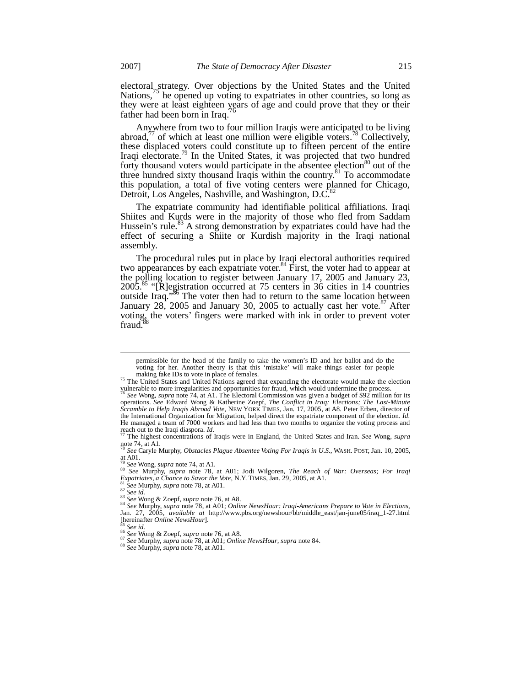electoral strategy. Over objections by the United States and the United Nations,<sup>13</sup> he opened up voting to expatriates in other countries, so long as they were at least eighteen years of age and could prove that they or their father had been born in Iraq.

Anywhere from two to four million Iraqis were anticipated to be living abroad, $77$  of which at least one million were eligible voters.<sup>78</sup> Collectively, these displaced voters could constitute up to fifteen percent of the entire Iraqi electorate.<sup>79</sup> In the United States, it was projected that two hundred forty thousand voters would participate in the absentee election<sup>80</sup> out of the three hundred sixty thousand Iraqis within the country.<sup>81</sup> To accommodate this population, a total of five voting centers were planned for Chicago, Detroit, Los Angeles, Nashville, and Washington, D.C.<sup>8</sup>

The expatriate community had identifiable political affiliations. Iraqi Shiites and Kurds were in the majority of those who fled from Saddam Hussein's rule.<sup>83</sup> A strong demonstration by expatriates could have had the effect of securing a Shiite or Kurdish majority in the Iraqi national assembly.

The procedural rules put in place by Iraqi electoral authorities required two appearances by each expatriate voter.<sup>84</sup> First, the voter had to appear at the polling location to register between January 17, 2005 and January 23,  $2005$ <sup>85</sup> "[R]egistration occurred at 75 centers in 36 cities in 14 countries outside Iraq.<sup>386</sup> The voter then had to return to the same location between January  $28$ ,  $2005$  and January 30,  $2005$  to actually cast her vote.<sup>87</sup> After voting, the voters' fingers were marked with ink in order to prevent voter  $fraud$ <sup>3</sup>

permissible for the head of the family to take the women's ID and her ballot and do the voting for her. Another theory is that this 'mistake' will make things easier for people making fake IDs to vote in place of females.

<sup>&</sup>lt;sup>75</sup> The United States and United Nations agreed that expanding the electorate would make the election vulnerable to more irregularities and opportunities for fraud, which would undermine the process.

<sup>76</sup> *See* Wong, *supra* note 74, at A1. The Electoral Commission was given a budget of \$92 million for its operations. *See* Edward Wong & Katherine Zoepf, *The Conflict in Iraq: Elections; The Last-Minute Scramble to Help Iraqis Abroad Vote*, NEW YORK TIMES, Jan. 17, 2005, at A8. Peter Erben, director of the International Organization for Migration, helped direct the expatriate component of the election. *Id.* He managed a team of 7000 workers and had less than two months to organize the voting process and reach out to the Iraqi diaspora. *Id.* <sup>77</sup> The highest concentrations of Iraqis were in England, the United States and Iran. *See* Wong, *supra*

note 74, at A1. <sup>78</sup> *See* Caryle Murphy, *Obstacles Plague Absentee Voting For Iraqis in U.S.*, WASH. POST, Jan. 10, 2005,

at A01.<br><sup>79</sup> See Wong, supra note 74, at A1.<br><sup>80</sup> See Murphy, supra note 78, at A01; Jodi Wilgoren, *The Reach of War: Overseas; For Iraqi*<br>Expatriates, a Chance to Savor the Vote, N.Y. TIMES, Jan. 29, 2005, at A1.

<sup>81</sup> *See* Murphy, *supra* note 78, at A01. <sup>82</sup> *See id.*

<sup>83</sup> *See* Wong & Zoepf, *supra* note 76*,* at A8.

<sup>84</sup> *See* Murphy, *supra* note 78, at A01; *Online NewsHour: Iraqi-Americans Prepare to Vote in Elections*, Jan. 27, 2005, *available at* http://www.pbs.org/newshour/bb/middle\_east/jan-june05/iraq\_1-27.html [hereinafter *Online NewsHour*].

<sup>85</sup> *See id.* <sup>86</sup> *See* Wong & Zoepf, *supra* note 76*,* at A8.

<sup>87</sup> *See* Murphy, *supra* note 78, at A01; *Online NewsHour*, *supra* note 84.

<sup>88</sup> *See* Murphy, *supra* note 78, at A01.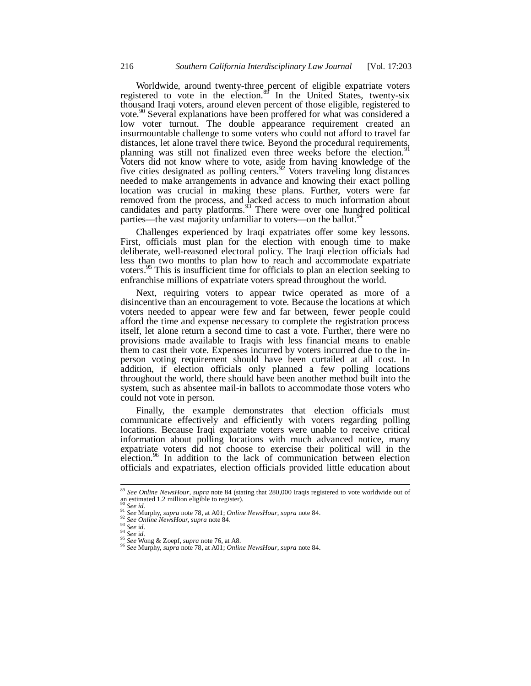Worldwide, around twenty-three percent of eligible expatriate voters registered to vote in the election. $8<sup>3</sup>$  In the United States, twenty-six thousand Iraqi voters, around eleven percent of those eligible, registered to vote.<sup>90</sup> Several explanations have been proffered for what was considered a low voter turnout. The double appearance requirement created an insurmountable challenge to some voters who could not afford to travel far distances, let alone travel there twice. Beyond the procedural requirements, planning was still not finalized even three weeks before the election.<sup>9</sup> Voters did not know where to vote, aside from having knowledge of the five cities designated as polling centers.<sup>92</sup> Voters traveling long distances needed to make arrangements in advance and knowing their exact polling location was crucial in making these plans. Further, voters were far removed from the process, and lacked access to much information about candidates and party platforms.<sup>93</sup> There were over one hundred political parties—the vast majority unfamiliar to voters—on the ballot.<sup>94</sup>

Challenges experienced by Iraqi expatriates offer some key lessons. First, officials must plan for the election with enough time to make deliberate, well-reasoned electoral policy. The Iraqi election officials had less than two months to plan how to reach and accommodate expatriate voters.<sup>95</sup> This is insufficient time for officials to plan an election seeking to enfranchise millions of expatriate voters spread throughout the world.

Next, requiring voters to appear twice operated as more of a disincentive than an encouragement to vote. Because the locations at which voters needed to appear were few and far between, fewer people could afford the time and expense necessary to complete the registration process itself, let alone return a second time to cast a vote. Further, there were no provisions made available to Iraqis with less financial means to enable them to cast their vote. Expenses incurred by voters incurred due to the inperson voting requirement should have been curtailed at all cost. In addition, if election officials only planned a few polling locations throughout the world, there should have been another method built into the system, such as absentee mail-in ballots to accommodate those voters who could not vote in person.

Finally, the example demonstrates that election officials must communicate effectively and efficiently with voters regarding polling locations. Because Iraqi expatriate voters were unable to receive critical information about polling locations with much advanced notice, many expatriate voters did not choose to exercise their political will in the election.<sup>96</sup> In addition to the lack of communication between election officials and expatriates, election officials provided little education about

<sup>89</sup> *See Online NewsHour*, *supra* note 84 (stating that 280,000 Iraqis registered to vote worldwide out of an estimated 1.2 million eligible to register).

<sup>90</sup> *See id.* <sup>91</sup> *See* Murphy, *supra* note 78, at A01; *Online NewsHour*, *supra* note 84.

<sup>92</sup> *See Online NewsHour, supra* note 84.

<sup>93</sup> *See* i*d.* <sup>94</sup> *See* i*d.*

<sup>95</sup> *See* Wong & Zoepf, *supra* note 76, at A8.

<sup>96</sup> *See* Murphy, *supra* note 78, at A01; *Online NewsHour*, *supra* note 84.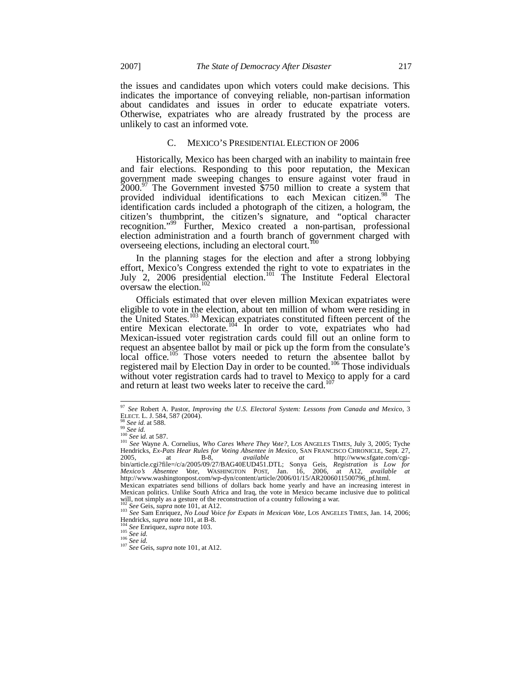the issues and candidates upon which voters could make decisions. This indicates the importance of conveying reliable, non-partisan information about candidates and issues in order to educate expatriate voters. Otherwise, expatriates who are already frustrated by the process are unlikely to cast an informed vote.

### C. MEXICO'S PRESIDENTIAL ELECTION OF 2006

Historically, Mexico has been charged with an inability to maintain free and fair elections. Responding to this poor reputation, the Mexican government made sweeping changes to ensure against voter fraud in  $2000$ .<sup>97</sup> The Government invested \$750 million to create a system that provided individual identifications to each Mexican citizen.<sup>98</sup> The identification cards included a photograph of the citizen, a hologram, the citizen's thumbprint, the citizen's signature, and "optical character recognition."<sup>99</sup> Further, Mexico created a non-partisan, professional election administration and a fourth branch of government charged with overseeing elections, including an electoral court.<sup>100</sup>

In the planning stages for the election and after a strong lobbying effort, Mexico's Congress extended the right to vote to expatriates in the July 2, 2006 presidential election.<sup>101</sup> The Institute Federal Electoral oversaw the election.<sup>102</sup>

Officials estimated that over eleven million Mexican expatriates were eligible to vote in the election, about ten million of whom were residing in the United States.<sup>103</sup> Mexican expatriates constituted fifteen percent of the entire Mexican electorate.<sup>104</sup> In order to vote, expatriates who had Mexican-issued voter registration cards could fill out an online form to request an absentee ballot by mail or pick up the form from the consulate's local office.<sup>105</sup> Those voters needed to return the absentee ballot by registered mail by Election Day in order to be counted.<sup>106</sup> Those individuals without voter registration cards had to travel to Mexico to apply for a card and return at least two weeks later to receive the card.<sup>1</sup>

<sup>97</sup> *See* Robert A. Pastor, *Improving the U.S. Electoral System: Lessons from Canada and Mexico*, 3 ELECT. L. J. 584, 587 (2004).

<sup>98</sup> *See id.* at 588. <sup>99</sup> *See id.* <sup>100</sup> *See* i*d.* at 587.

<sup>101</sup> *See* Wayne A. Cornelius, *Who Cares Where They Vote?*, LOS ANGELES TIMES, July 3, 2005; Tyche Hendricks, *Ex-Pats Hear Rules for Voting Absentee in Mexico*, SAN FRANCISCO CHRONICLE, Sept. 27, 2005, at B-8, *available at* http://www.sfgate.com/cgi-2005, at B-8, *available at* http://www.sfgate.com/cgibin/article.cgi?file=/c/a/2005/09/27/BAG40EUD451.DTL; Sonya Geis, *Registration is Low for*<br>*Mexico's Absentee Vote*, WASHINGTON POST, Jan. 16, 2006, at A12, *available at*<br>http://www.washingtonpost.com/wp-dyn/content/arti Mexican expatriates send billions of dollars back home yearly and have an increasing interest in Mexican politics. Unlike South Africa and Iraq, the vote in Mexico became inclusive due to political will, not simply as a gesture of the reconstruction of a country following a war.

<sup>102</sup> *See* Geis, *supra* note 101, at A12. <sup>103</sup> *See* Sam Enriquez, *No Loud Voice for Expats in Mexican Vote*, LOS ANGELES TIMES, Jan. 14, 2006; Hendricks, *supra* note 101, at B-8.

<sup>104</sup> *See* Enriquez, *supra* note 103. <sup>105</sup> *See id.*

<sup>106</sup> *See id.*

<sup>107</sup> *See* Geis, *supra* note 101, at A12.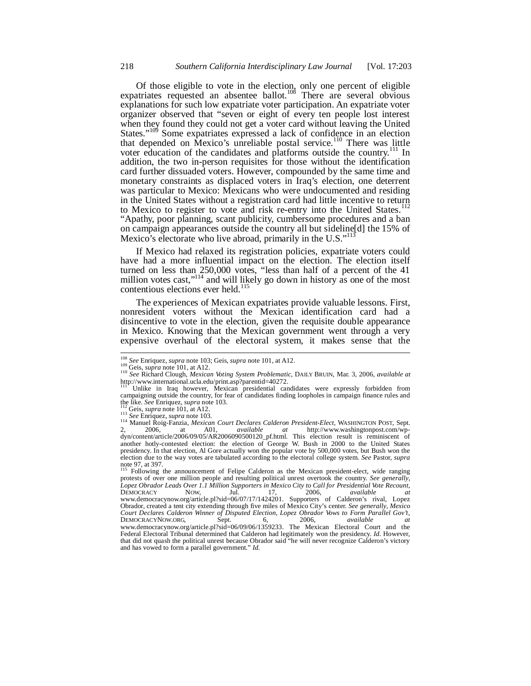Of those eligible to vote in the election, only one percent of eligible expatriates requested an absentee ballot.<sup>108</sup> There are several obvious explanations for such low expatriate voter participation. An expatriate voter organizer observed that "seven or eight of every ten people lost interest when they found they could not get a voter card without leaving the United States."<sup>109</sup> Some expatriates expressed a lack of confidence in an election that depended on Mexico's unreliable postal service.<sup>110</sup> There was little voter education of the candidates and platforms outside the country.<sup>111</sup> In addition, the two in-person requisites for those without the identification card further dissuaded voters. However, compounded by the same time and monetary constraints as displaced voters in Iraq's election, one deterrent was particular to Mexico: Mexicans who were undocumented and residing in the United States without a registration card had little incentive to return to Mexico to register to vote and risk re-entry into the United States.<sup>112</sup> "Apathy, poor planning, scant publicity, cumbersome procedures and a ban on campaign appearances outside the country all but sideline[d] the 15% of Mexico's electorate who live abroad, primarily in the U.S."<sup>1</sup>

If Mexico had relaxed its registration policies, expatriate voters could have had a more influential impact on the election. The election itself turned on less than 250,000 votes, "less than half of a percent of the 41 million votes cast,"<sup>114</sup> and will likely go down in history as one of the most contentious elections ever held.<sup>115</sup>

The experiences of Mexican expatriates provide valuable lessons. First, nonresident voters without the Mexican identification card had a disincentive to vote in the election, given the requisite double appearance in Mexico. Knowing that the Mexican government went through a very expensive overhaul of the electoral system, it makes sense that the

<sup>108</sup> *See* Enriquez, *supra* note 103; Geis, *supra* note 101, at A12.

<sup>109</sup> Geis, *supra* note 101, at A12.

<sup>110</sup> *See* Richard Clough, *Mexican Voting System Problematic*, DAILY BRUIN, Mar. 3, 2006, *available at* http://www.international.ucla.edu/print.asp?parentid=40272.

Unlike in Iraq however, Mexican presidential candidates were expressly forbidden from campaigning outside the country, for fear of candidates finding loopholes in campaign finance rules and the like. *See* Enriquez, *supra* note 103.

Geis, *supra* note 101, at A12.

<sup>113</sup> *See* Enriquez, *supra* note 103*.*

<sup>114</sup> Manuel Roig-Fanzia, *Mexican Court Declares Calderon President-Elect*, WASHINGTON POST, Sept. 2, 2006, at A01, *available at* http://www.washingtonpost.com/wp-dyn/content/article/2006/09/05/AR2006090500120\_pf.html. This election result is reminiscent of another hotly-contested election: the election of George W. Bush in 2000 to the United States presidency. In that election, Al Gore actually won the popular vote by 500,000 votes, but Bush won the election due to the way votes are tabulated according to the electoral college system. *See* Pastor, *supra* note 97, at 397.

<sup>115</sup> Following the announcement of Felipe Calderon as the Mexican president-elect, wide ranging protests of over one million people and resulting political unrest overtook the country. *See generally*, *Lopez Obrador Leads Over 1.1 Million Supporters in Mexico City to Call for Presidential Vote Recount*, DEMOCRACY NOW, Jul. 17, 2006, *available at* www.democracynow.org/article.pl?sid=06/07/17/1424201. Supporters of Calderon's rival, Lopez Obrador, created a tent city extending through five miles of Mexico City's center. *See generally*, *Mexico Court Declares Calderon Winner of Disputed Election, Lopez Obrador Vows to Form Parallel Gov't*, DEMOCRACYNOW.ORG, Sept. 6, 2006, *available at* www.democracynow.org/article.pl?sid=06/09/06/1359233. The Mexican Electoral Court and the Federal Electoral Tribunal determined that Calderon had legitimately won the presidency. *Id.* However, that did not quash the political unrest because Obrador said "he will never recognize Calderon's victory and has vowed to form a parallel government." *Id.*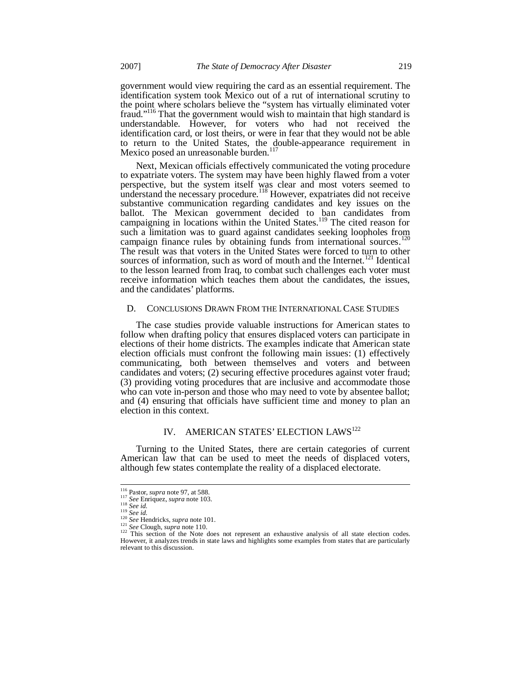government would view requiring the card as an essential requirement. The identification system took Mexico out of a rut of international scrutiny to the point where scholars believe the "system has virtually eliminated voter fraud."<sup>116</sup> That the government would wish to maintain that high standard is understandable. However, for voters who had not received the identification card, or lost theirs, or were in fear that they would not be able to return to the United States, the double-appearance requirement in Mexico posed an unreasonable burden.<sup>1</sup>

Next, Mexican officials effectively communicated the voting procedure to expatriate voters. The system may have been highly flawed from a voter perspective, but the system itself was clear and most voters seemed to understand the necessary procedure.<sup>118</sup> However, expatriates did not receive substantive communication regarding candidates and key issues on the ballot. The Mexican government decided to ban candidates from campaigning in locations within the United States.<sup>119</sup> The cited reason for such a limitation was to guard against candidates seeking loopholes from campaign finance rules by obtaining funds from international sources.<sup>120</sup> The result was that voters in the United States were forced to turn to other sources of information, such as word of mouth and the Internet.<sup>121</sup> Identical to the lesson learned from Iraq, to combat such challenges each voter must receive information which teaches them about the candidates, the issues, and the candidates' platforms.

### D. CONCLUSIONS DRAWN FROM THE INTERNATIONAL CASE STUDIES

The case studies provide valuable instructions for American states to follow when drafting policy that ensures displaced voters can participate in elections of their home districts. The examples indicate that American state election officials must confront the following main issues: (1) effectively communicating, both between themselves and voters and between candidates and voters; (2) securing effective procedures against voter fraud; (3) providing voting procedures that are inclusive and accommodate those who can vote in-person and those who may need to vote by absentee ballot; and (4) ensuring that officials have sufficient time and money to plan an election in this context.

# IV. AMERICAN STATES' ELECTION LAWS<sup>122</sup>

Turning to the United States, there are certain categories of current American law that can be used to meet the needs of displaced voters, although few states contemplate the reality of a displaced electorate.

<sup>116</sup> Pastor, *supra* note 97, at 588. <sup>117</sup> *See* Enriquez, *supra* note 103.

<sup>118</sup> *See id.* <sup>119</sup> *See id.*

<sup>120</sup> *See* Hendricks, *supra* note 101.

<sup>121</sup> *See* Clough, *supra* note 110.

<sup>&</sup>lt;sup>122</sup> This section of the Note does not represent an exhaustive analysis of all state election codes. However, it analyzes trends in state laws and highlights some examples from states that are particularly relevant to this discussion.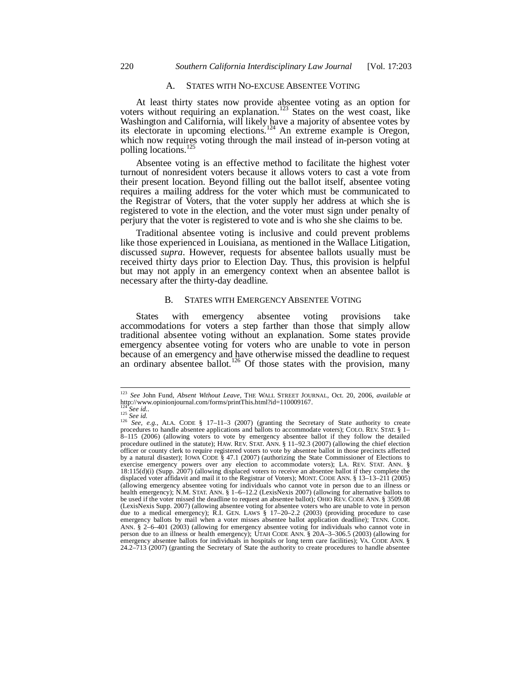## A. STATES WITH NO-EXCUSE ABSENTEE VOTING

At least thirty states now provide absentee voting as an option for voters without requiring an explanation.<sup>123</sup> States on the west coast, like Washington and California, will likely have a majority of absentee votes by its electorate in upcoming elections.<sup>124</sup> An extreme example is Oregon, which now requires voting through the mail instead of in-person voting at polling locations.<sup>125</sup>

Absentee voting is an effective method to facilitate the highest voter turnout of nonresident voters because it allows voters to cast a vote from their present location. Beyond filling out the ballot itself, absentee voting requires a mailing address for the voter which must be communicated to the Registrar of Voters, that the voter supply her address at which she is registered to vote in the election, and the voter must sign under penalty of perjury that the voter is registered to vote and is who she she claims to be.

Traditional absentee voting is inclusive and could prevent problems like those experienced in Louisiana, as mentioned in the Wallace Litigation, discussed *supra*. However, requests for absentee ballots usually must be received thirty days prior to Election Day. Thus, this provision is helpful but may not apply in an emergency context when an absentee ballot is necessary after the thirty-day deadline.

## B. STATES WITH EMERGENCY ABSENTEE VOTING

States with emergency absentee voting provisions take accommodations for voters a step farther than those that simply allow traditional absentee voting without an explanation. Some states provide emergency absentee voting for voters who are unable to vote in person because of an emergency and have otherwise missed the deadline to request an ordinary absentee ballot.<sup>126</sup> Of those states with the provision, many

<sup>123</sup> *See* John Fund, *Absent Without Leave*, THE WALL STREET JOURNAL, Oct. 20, 2006, *available at* http://www.opinionjournal.com/forms/printThis.html?id=110009167.

<sup>124</sup> *See id.*. <sup>125</sup> *See id.*

<sup>&</sup>lt;sup>126</sup> *See, e.g.*, ALA. CODE § 17–11–3 (2007) (granting the Secretary of State authority to create procedures to handle absentee applications and ballots to accommodate voters); COLO. REV. STAT. § 1– 8–115 (2006) (allowing voters to vote by emergency absentee ballot if they follow the detailed procedure outlined in the statute); HAW. REV. STAT. ANN. § 11–92.3 (2007) (allowing the chief election officer or county clerk to require registered voters to vote by absentee ballot in those precincts affected by a natural disaster); IOWA CODE § 47.1 (2007) (authorizing the State Commissioner of Elections to exercise emergency powers over any election to accommodate voters); LA. REV. STAT. ANN. § 18:115(d)(i) (Supp. 2007) (allowing displaced voters to receive an absentee ballot if they complete the displaced voter affidavit and mail it to the Registrar of Voters); MONT. CODE ANN. § 13–13–211 (2005) (allowing emergency absentee voting for individuals who cannot vote in person due to an illness or health emergency); N.M. STAT. ANN. § 1–6–12.2 (LexisNexis 2007) (allowing for alternative ballots to be used if the voter missed the deadline to request an absentee ballot); OHIO REV. CODE ANN. § 3509.08 (LexisNexis Supp. 2007) (allowing absentee voting for absentee voters who are unable to vote in person due to a medical emergency); R.I. GEN. LAWS § 17–20–2.2 (2003) (providing procedure to case emergency ballots by mail when a voter misses absentee ballot application deadline); TENN. CODE. ANN. § 2–6–401 (2003) (allowing for emergency absentee voting for individuals who cannot vote in person due to an illness or health emergency); UTAH CODE ANN. § 20A–3–306.5 (2003) (allowing for emergency absentee ballots for individuals in hospitals or long term care facilities); VA. CODE ANN. § 24.2–713 (2007) (granting the Secretary of State the authority to create procedures to handle absentee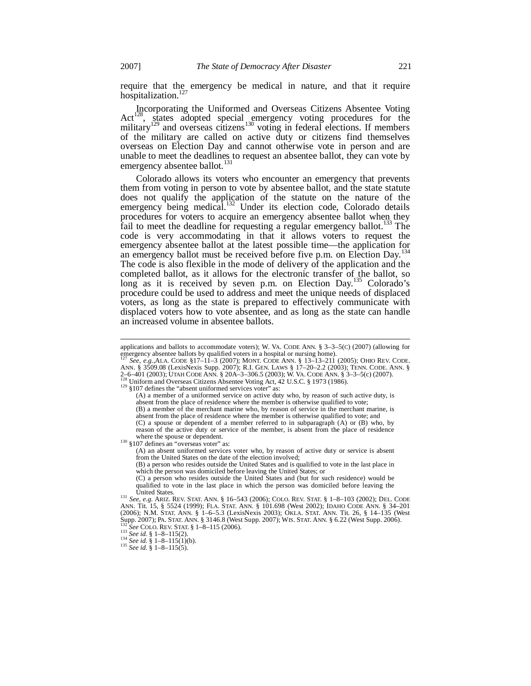require that the emergency be medical in nature, and that it require hospitalization.<sup>127</sup>

Incorporating the Uniformed and Overseas Citizens Absentee Voting Act<sup>128</sup>, states adopted special emergency voting procedures for the military<sup>129</sup> and overseas citizens<sup>130</sup> voting in federal elections. If members of the military are called on active duty or citizens find themselves overseas on Election Day and cannot otherwise vote in person and are unable to meet the deadlines to request an absentee ballot, they can vote by emergency absentee ballot.<sup>1</sup>

Colorado allows its voters who encounter an emergency that prevents them from voting in person to vote by absentee ballot, and the state statute does not qualify the application of the statute on the nature of the emergency being medical.<sup>132</sup> Under its election code, Colorado details procedures for voters to acquire an emergency absentee ballot when they fail to meet the deadline for requesting a regular emergency ballot.<sup>133</sup> The code is very accommodating in that it allows voters to request the emergency absentee ballot at the latest possible time—the application for an emergency ballot must be received before five p.m. on Election Day.<sup>134</sup> The code is also flexible in the mode of delivery of the application and the completed ballot, as it allows for the electronic transfer of the ballot, so long as it is received by seven p.m. on Election Day.<sup>135</sup> Colorado's procedure could be used to address and meet the unique needs of displaced voters, as long as the state is prepared to effectively communicate with displaced voters how to vote absentee, and as long as the state can handle an increased volume in absentee ballots.

<sup>129</sup> §107 defines the "absent uniformed services voter" as:

<sup>130</sup> §107 defines an "overseas voter" as:

(A) an absent uniformed services voter who, by reason of active duty or service is absent from the United States on the date of the election involved;

(B) a person who resides outside the United States and is qualified to vote in the last place in which the person was domiciled before leaving the United States; or (C) a person who resides outside the United States and (but for such residence) would be

qualified to vote in the last place in which the person was domiciled before leaving the United States.

131 *See, e.g.* ARIZ. REV. STAT. ANN. § 16–543 (2006); COLO. REV. STAT. § 1–8–103 (2002); DEL. CODE ANN. Tit. 15, § 5524 (1999); FLA. STAT. ANN. § 101.698 (West 2002); IDAHO CODE ANN. § 34–201 (2006); N.M. STAT. ANN. § 1–6–5.3 (LexisNexis 2003); OKLA. STAT. ANN. Tit. 26, § 14–135 (West Supp. 2007); PA. STAT. ANN. § 3146.8 (West Supp. 2007); WIS. STAT. ANN. § 6.22 (West Supp. 2006). <sup>132</sup> *See* COLO. REV. STAT. § 1–8–115 (2006). <sup>133</sup> *See id.* § 1–8–115(2).

applications and ballots to accommodate voters); W. VA. CODE ANN. §  $3-3-5$ (C) (2007) (allowing for emergency absentee ballots by qualified voters in a hospital or nursing home).

<sup>&</sup>lt;sup>127</sup> *See, e.g.,ALA. CODE* §17–11-3 (2007); MONT. CODE ANN. § 13–13–211 (2005); OHIO REV. CODE.<br>ANN. § 3509.08 (LexisNexis Supp. 2007); R.I. GEN. LAWS § 17–20–2.2 (2003); TENN. CODE. ANN. § 2–6–401 (2003); UNAH CODE ANN. § 2007), K.I. GEN. LAWS §  $1/-20-2.2$  (2003); TENN. CODE A<br>2–6–401 (2003); UTAH CODE ANN. § 20A–3–306.5 (2003); W. VA. CODE ANN. § 3–3–5(c) (2007). Uniform and Overseas Citizens Absentee Voting Act, 42 U.S.C. § 1973 (1986).

<sup>(</sup>A) a member of a uniformed service on active duty who, by reason of such active duty, is absent from the place of residence where the member is otherwise qualified to vote;

<sup>(</sup>B) a member of the merchant marine who, by reason of service in the merchant marine, is absent from the place of residence where the member is otherwise qualified to vote; and (C) a spouse or dependent of a member referred to in subparagraph (A) or (B) who, by

reason of the active duty or service of the member, is absent from the place of residence where the spouse or dependent.

<sup>134</sup> *See id.* § 1–8–115(1)(b).

<sup>135</sup> *See id.* § 1–8–115(5).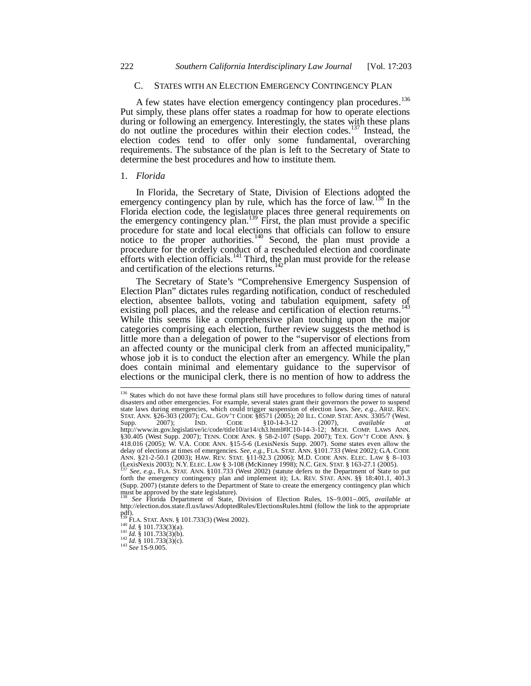#### C. STATES WITH AN ELECTION EMERGENCY CONTINGENCY PLAN

A few states have election emergency contingency plan procedures.<sup>136</sup> Put simply, these plans offer states a roadmap for how to operate elections during or following an emergency. Interestingly, the states with these plans do not outline the procedures within their election codes.<sup>137</sup> Instead, the election codes tend to offer only some fundamental, overarching requirements. The substance of the plan is left to the Secretary of State to determine the best procedures and how to institute them.

#### 1. *Florida*

In Florida, the Secretary of State, Division of Elections adopted the emergency contingency plan by rule, which has the force of law.<sup>138</sup> In the Florida election code, the legislature places three general requirements on the emergency contingency plan.<sup>139</sup> First, the plan must provide a specific procedure for state and local elections that officials can follow to ensure notice to the proper authorities.<sup>140</sup> Second, the plan must provide a procedure for the orderly conduct of a rescheduled election and coordinate efforts with election officials.<sup>141</sup> Third, the plan must provide for the release and certification of the elections returns.<sup>142</sup>

The Secretary of State's "Comprehensive Emergency Suspension of Election Plan" dictates rules regarding notification, conduct of rescheduled election, absentee ballots, voting and tabulation equipment, safety of existing poll places, and the release and certification of election returns.<sup>143</sup> While this seems like a comprehensive plan touching upon the major categories comprising each election, further review suggests the method is little more than a delegation of power to the "supervisor of elections from an affected county or the municipal clerk from an affected municipality," whose job it is to conduct the election after an emergency. While the plan does contain minimal and elementary guidance to the supervisor of elections or the municipal clerk, there is no mention of how to address the

<sup>136</sup> States which do not have these formal plans still have procedures to follow during times of natural disasters and other emergencies. For example, several states grant their governors the power to suspend state laws during emergencies, which could trigger suspension of election laws. *See, e.g.,* ARIZ. REV. STAT. ANN. §26-303 (2007); CAL. GOV'T CODE §8571 (2005); 20 ILL. COMP. STAT. ANN. 3305/7 (West. Supp. 2007); IND. CODE §10-14-3-12 (2007), *available at* http://www.in.gov.legislative/ic/code/title10/ar14/ch3.html#IC10-14-3-12; MICH. COMP. LAWS ANN. §30.405 (West Supp. 2007); TENN. CODE ANN. § 58-2-107 (Supp. 2007); TEX. GOV'T CODE ANN. § 418.016 (2005); W. V.A. CODE ANN. §15-5-6 (LexisNexis Supp. 2007). Some states even allow the delay of elections at times of emergencies. *See, e.g.*, FLA. STAT. ANN. §101.733 (West 2002); G.A. CODE ANN. §21-2-50.1 (2003); (LexisNexis 2003); N.Y. ELEC. LAW § 3-108 (McKinney 1998); N.C. GEN. STAT. § 163-27.1 (2005). <sup>137</sup> *See, e.g.,* FLA. STAT. ANN. §101.733 (West 2002) (statute defers to the Department of State to put

forth the emergency contingency plan and implement it); LA. REV. STAT. ANN. §§ 18:401.1, 401.3 (Supp. 2007) (statute defers to the Department of State to create the emergency contingency plan which must be approved by the state legislature).

<sup>138</sup> *See* Florida Department of State, Division of Election Rules, 1S–9.001–.005, *available at* http://election.dos.state.fl.us/laws/AdoptedRules/ElectionsRules.html (follow the link to the appropriate pdf). <sup>139</sup> FLA. STAT. ANN. § 101.733(3) (West 2002).

<sup>140</sup> *Id.* § 101.733(3)(a). <sup>141</sup> *Id.* § 101.733(3)(b).

 $^{142}$  *Id.* § 101.733(3)(c).

<sup>143</sup> *See* 1S-9.005.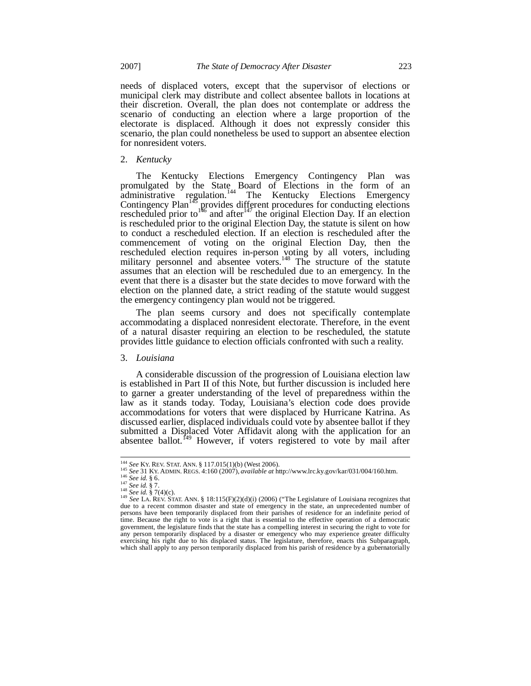needs of displaced voters, except that the supervisor of elections or municipal clerk may distribute and collect absentee ballots in locations at their discretion. Overall, the plan does not contemplate or address the scenario of conducting an election where a large proportion of the electorate is displaced. Although it does not expressly consider this scenario, the plan could nonetheless be used to support an absentee election for nonresident voters.

#### 2. *Kentucky*

The Kentucky Elections Emergency Contingency Plan was promulgated by the State Board of Elections in the form of an administrative regulation.<sup>144</sup> The Kentucky Elections Emergency Contingency Plan<sup>145</sup> provides different procedures for conducting elections rescheduled prior to<sup>146</sup> and after<sup>147</sup> the original Election Day. If an election is rescheduled prior to the original Election Day, the statute is silent on how to conduct a rescheduled election. If an election is rescheduled after the commencement of voting on the original Election Day, then the rescheduled election requires in-person voting by all voters, including military personnel and absentee voters.<sup>148</sup> The structure of the statute assumes that an election will be rescheduled due to an emergency. In the event that there is a disaster but the state decides to move forward with the election on the planned date, a strict reading of the statute would suggest the emergency contingency plan would not be triggered.

The plan seems cursory and does not specifically contemplate accommodating a displaced nonresident electorate. Therefore, in the event of a natural disaster requiring an election to be rescheduled, the statute provides little guidance to election officials confronted with such a reality.

#### 3. *Louisiana*

A considerable discussion of the progression of Louisiana election law is established in Part II of this Note, but further discussion is included here to garner a greater understanding of the level of preparedness within the law as it stands today. Today, Louisiana's election code does provide accommodations for voters that were displaced by Hurricane Katrina. As discussed earlier, displaced individuals could vote by absentee ballot if they submitted a Displaced Voter Affidavit along with the application for an absentee ballot. $^{149}$  However, if voters registered to vote by mail after

<sup>144</sup> *See* KY. REV. STAT. ANN. § 117.015(1)(b) (West 2006). <sup>145</sup> *See* 31 KY. ADMIN. REGS. 4:160 (2007), *available at* http://www.lrc.ky.gov/kar/031/004/160.htm.

<sup>146</sup> *See id.* § 6.

<sup>147</sup> *See id.* § 7. <sup>148</sup> *See id.* § 7(4)(c).

<sup>&</sup>lt;sup>149</sup> See LA. REV. STAT. ANN. § 18:115(F)(2)(d)(i) (2006) ("The Legislature of Louisiana recognizes that due to a recent common disaster and state of emergency in the state, an unprecedented number of persons have been temporarily displaced from their parishes of residence for an indefinite period of time. Because the right to vote is a right that is essential to the effective operation of a democratic government, the legislature finds that the state has a compelling interest in securing the right to vote for any person temporarily displaced by a disaster or emergency who may experience greater difficulty exercising his right due to his displaced status. The legislature, therefore, enacts this Subparagraph, which shall apply to any person temporarily displaced from his parish of residence by a gubernatorially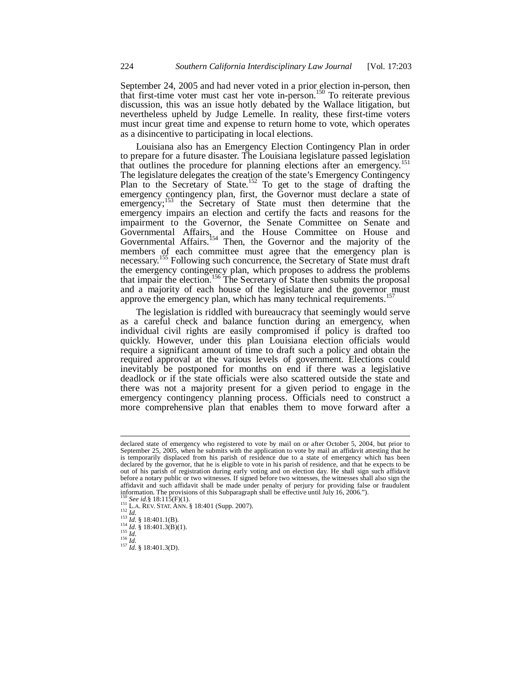September 24, 2005 and had never voted in a prior election in-person, then that first-time voter must cast her vote in-person.<sup>150</sup> To reiterate previous discussion, this was an issue hotly debated by the Wallace litigation, but nevertheless upheld by Judge Lemelle. In reality, these first-time voters must incur great time and expense to return home to vote, which operates as a disincentive to participating in local elections.

Louisiana also has an Emergency Election Contingency Plan in order to prepare for a future disaster. The Louisiana legislature passed legislation that outlines the procedure for planning elections after an emergency.<sup>15</sup> The legislature delegates the creation of the state's Emergency Contingency Plan to the Secretary of State.<sup>152</sup> To get to the stage of drafting the emergency contingency plan, first, the Governor must declare a state of emergency;<sup>153</sup> the Secretary of State must then determine that the emergency impairs an election and certify the facts and reasons for the impairment to the Governor, the Senate Committee on Senate and Governmental Affairs, and the House Committee on House and Governmental Affairs.<sup>154</sup> Then, the Governor and the majority of the members of each committee must agree that the emergency plan is necessary.<sup>155</sup> Following such concurrence, the Secretary of State must draft the emergency contingency plan, which proposes to address the problems that impair the election.<sup>156</sup> The Secretary of State then submits the proposal and a majority of each house of the legislature and the governor must approve the emergency plan, which has many technical requirements.<sup>157</sup>

The legislation is riddled with bureaucracy that seemingly would serve as a careful check and balance function during an emergency, when individual civil rights are easily compromised if policy is drafted too quickly. However, under this plan Louisiana election officials would require a significant amount of time to draft such a policy and obtain the required approval at the various levels of government. Elections could inevitably be postponed for months on end if there was a legislative deadlock or if the state officials were also scattered outside the state and there was not a majority present for a given period to engage in the emergency contingency planning process. Officials need to construct a more comprehensive plan that enables them to move forward after a

declared state of emergency who registered to vote by mail on or after October 5, 2004, but prior to September 25, 2005, when he submits with the application to vote by mail an affidavit attesting that he is temporarily displaced from his parish of residence due to a state of emergency which has been declared by the governor, that he is eligible to vote in his parish of residence, and that he expects to be out of his parish of registration during early voting and on election day. He shall sign such affidavit before a notary public or two witnesses. If signed before two witnesses, the witnesses shall also sign the affidavit and such affidavit shall be made under penalty of perjury for providing false or fraudulent information. The provisions of this Subparagraph shall be effective until July 16, 2006.").

<sup>150</sup> *See id.*§ 18:115(F)(1).

<sup>151</sup> L.A. REV. STAT. ANN. § 18:401 (Supp. 2007). <sup>152</sup> *Id.*

<sup>&</sup>lt;sup>153</sup> *Id.* § 18:401.1(B).

 $^{154}_{155}$  *Id.* § 18:401.3(B)(1).<br> $^{155}_{16}$ 

<sup>155</sup> *Id.* <sup>156</sup> *Id.*

<sup>157</sup> *Id.* § 18:401.3(D).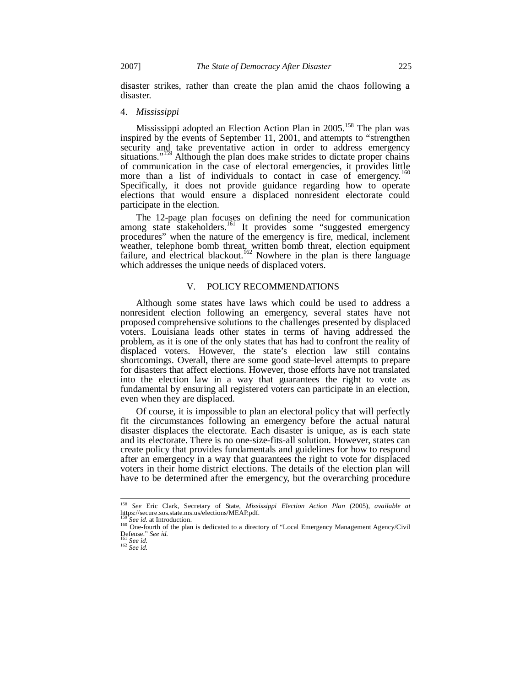disaster strikes, rather than create the plan amid the chaos following a disaster.

#### 4. *Mississippi*

Mississippi adopted an Election Action Plan in 2005.<sup>158</sup> The plan was inspired by the events of September 11, 2001, and attempts to "strengthen security and take preventative action in order to address emergency situations."<sup>159</sup> Although the plan does make strides to dictate proper chains of communication in the case of electoral emergencies, it provides little more than a list of individuals to contact in case of emergency.<sup>160</sup> Specifically, it does not provide guidance regarding how to operate elections that would ensure a displaced nonresident electorate could participate in the election.

The 12-page plan focuses on defining the need for communication among state stakeholders.<sup>161</sup> It provides some "suggested emergency procedures" when the nature of the emergency is fire, medical, inclement weather, telephone bomb threat, written bomb threat, election equipment failure, and electrical blackout.<sup>162</sup> Nowhere in the plan is there language which addresses the unique needs of displaced voters.

### V. POLICY RECOMMENDATIONS

Although some states have laws which could be used to address a nonresident election following an emergency, several states have not proposed comprehensive solutions to the challenges presented by displaced voters. Louisiana leads other states in terms of having addressed the problem, as it is one of the only states that has had to confront the reality of displaced voters. However, the state's election law still contains shortcomings. Overall, there are some good state-level attempts to prepare for disasters that affect elections. However, those efforts have not translated into the election law in a way that guarantees the right to vote as fundamental by ensuring all registered voters can participate in an election, even when they are displaced.

Of course, it is impossible to plan an electoral policy that will perfectly fit the circumstances following an emergency before the actual natural disaster displaces the electorate. Each disaster is unique, as is each state and its electorate. There is no one-size-fits-all solution. However, states can create policy that provides fundamentals and guidelines for how to respond after an emergency in a way that guarantees the right to vote for displaced voters in their home district elections. The details of the election plan will have to be determined after the emergency, but the overarching procedure

<sup>158</sup> *See* Eric Clark, Secretary of State, *Mississippi Election Action Plan* (2005), *available at* https://secure.sos.state.ms.us/elections/MEAP.pdf.

See *id.* at Introduction.

<sup>&</sup>lt;sup>160</sup> One-fourth of the plan is dedicated to a directory of "Local Emergency Management Agency/Civil<br>Defense." *See id.* <sup>161</sup> *See id.*

<sup>162</sup> *See id.*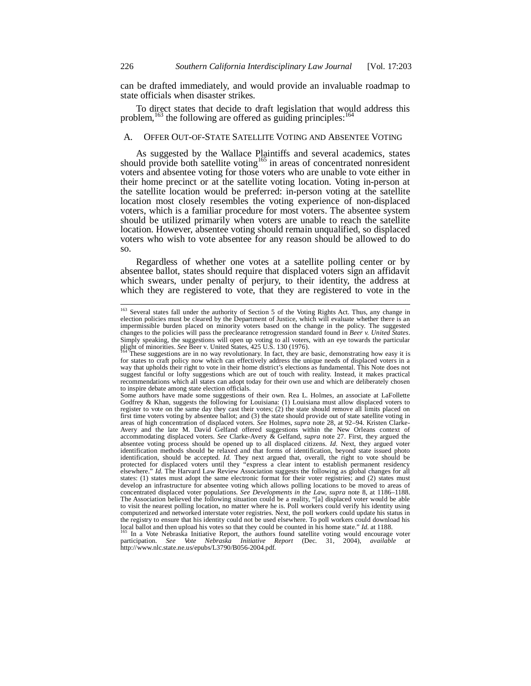can be drafted immediately, and would provide an invaluable roadmap to state officials when disaster strikes.

To direct states that decide to draft legislation that would address this problem,<sup>163</sup> the following are offered as guiding principles:<sup>164</sup>

## A. OFFER OUT-OF-STATE SATELLITE VOTING AND ABSENTEE VOTING

As suggested by the Wallace Plaintiffs and several academics, states should provide both satellite voting<sup>165</sup> in areas of concentrated nonresident voters and absentee voting for those voters who are unable to vote either in their home precinct or at the satellite voting location. Voting in-person at the satellite location would be preferred: in-person voting at the satellite location most closely resembles the voting experience of non-displaced voters, which is a familiar procedure for most voters. The absentee system should be utilized primarily when voters are unable to reach the satellite location. However, absentee voting should remain unqualified, so displaced voters who wish to vote absentee for any reason should be allowed to do so.

Regardless of whether one votes at a satellite polling center or by absentee ballot, states should require that displaced voters sign an affidavit which swears, under penalty of perjury, to their identity, the address at which they are registered to vote, that they are registered to vote in the

<sup>&</sup>lt;sup>163</sup> Several states fall under the authority of Section 5 of the Voting Rights Act. Thus, any change in election policies must be cleared by the Department of Justice, which will evaluate whether there is an impermissible burden placed on minority voters based on the change in the policy. The suggested changes to the policies will pass the preclearance retrogression standard found in *Beer v. United States*. Simply speaking, the suggestions will open up voting to all voters, with an eye towards the particular plight of minorities. *See* Beer v. United States, 425 U.S. 130 (1976).

These suggestions are in no way revolutionary. In fact, they are basic, demonstrating how easy it is for states to craft policy now which can effectively address the unique needs of displaced voters in a way that upholds their right to vote in their home district's elections as fundamental. This Note does not suggest fanciful or lofty suggestions which are out of touch with reality. Instead, it makes practical recommendations which all states can adopt today for their own use and which are deliberately chosen to inspire debate among state election officials.

Some authors have made some suggestions of their own. Rea L. Holmes, an associate at LaFollette Godfrey & Khan, suggests the following for Louisiana: (1) Louisiana must allow displaced voters to register to vote on the same day they cast their votes; (2) the state should remove all limits placed on first time voters voting by absentee ballot; and (3) the state should provide out of state satellite voting in areas of high concentration of displaced voters. *See* Holmes, *supra* note 28, at 92–94. Kristen Clarke-Avery and the late M. David Gelfand offered suggestions within the New Orleans context of accommodating displaced voters. *See* Clarke-Avery & Gelfand, *supra* note 27. First, they argued the absentee voting process should be opened up to all displaced citizens. *Id.* Next, they argued voter identification methods should be relaxed and that forms of identification, beyond state issued photo identification, should be accepted. *Id.* They next argued that, overall, the right to vote should be protected for displaced voters until they "express a clear intent to establish permanent residency elsewhere." *Id.* The Harvard Law Review Association suggests the following as global changes for all states: (1) states must adopt the same electronic format for their voter registries; and (2) states must develop an infrastructure for absentee voting which allows polling locations to be moved to areas of concentrated displaced voter populations. *See Developments in the Law*, *supra* note 8, at 1186–1188. The Association believed the following situation could be a reality, "[a] displaced voter would be able to visit the nearest polling location, no matter where he is. Poll workers could verify his identity using computerized and networked interstate voter registries. Next, the poll workers could update his status in the registry to ensure that his identity could not be used elsewhere. To poll workers could download his local ballot and then upload his votes so that they could be counted in his home state." *Id.* at 1188.

<sup>165</sup> In a Vote Nebraska Initiative Report, the authors found satellite voting would encourage voter participation. *See Vote Nebraska Initiative Report* (Dec. 31, 2004), *available at* http://www.nlc.state.ne.us/epubs/L3790/B056-2004.pdf.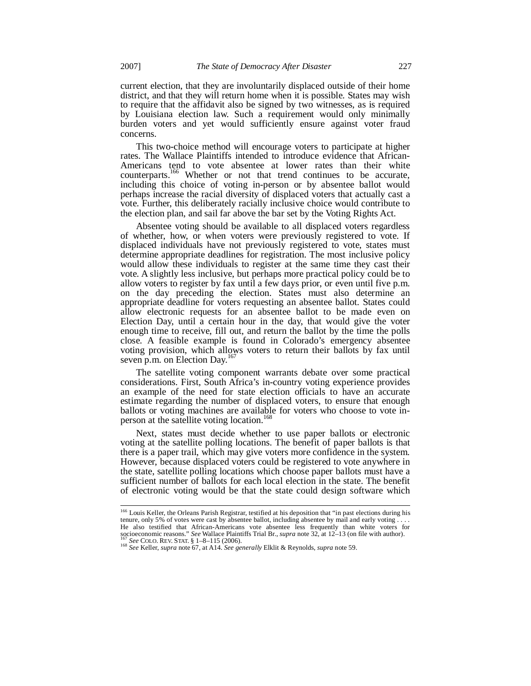current election, that they are involuntarily displaced outside of their home district, and that they will return home when it is possible. States may wish to require that the affidavit also be signed by two witnesses, as is required by Louisiana election law. Such a requirement would only minimally burden voters and yet would sufficiently ensure against voter fraud concerns.

This two-choice method will encourage voters to participate at higher rates. The Wallace Plaintiffs intended to introduce evidence that African-Americans tend to vote absentee at lower rates than their white counterparts.<sup>166</sup> Whether or not that trend continues to be accurate, including this choice of voting in-person or by absentee ballot would perhaps increase the racial diversity of displaced voters that actually cast a vote. Further, this deliberately racially inclusive choice would contribute to the election plan, and sail far above the bar set by the Voting Rights Act.

Absentee voting should be available to all displaced voters regardless of whether, how, or when voters were previously registered to vote. If displaced individuals have not previously registered to vote, states must determine appropriate deadlines for registration. The most inclusive policy would allow these individuals to register at the same time they cast their vote. A slightly less inclusive, but perhaps more practical policy could be to allow voters to register by fax until a few days prior, or even until five p.m. on the day preceding the election. States must also determine an appropriate deadline for voters requesting an absentee ballot. States could allow electronic requests for an absentee ballot to be made even on Election Day, until a certain hour in the day, that would give the voter enough time to receive, fill out, and return the ballot by the time the polls close. A feasible example is found in Colorado's emergency absentee voting provision, which allows voters to return their ballots by fax until seven p.m. on Election Day. $167$ 

The satellite voting component warrants debate over some practical considerations. First, South Africa's in-country voting experience provides an example of the need for state election officials to have an accurate estimate regarding the number of displaced voters, to ensure that enough ballots or voting machines are available for voters who choose to vote inperson at the satellite voting location.<sup>168</sup>

Next, states must decide whether to use paper ballots or electronic voting at the satellite polling locations. The benefit of paper ballots is that there is a paper trail, which may give voters more confidence in the system. However, because displaced voters could be registered to vote anywhere in the state, satellite polling locations which choose paper ballots must have a sufficient number of ballots for each local election in the state. The benefit of electronic voting would be that the state could design software which

<sup>&</sup>lt;sup>166</sup> Louis Keller, the Orleans Parish Registrar, testified at his deposition that "in past elections during his tenure, only 5% of votes were cast by absentee ballot, including absentee by mail and early voting . . He also testified that African-Americans vote absentee less frequently than white voters for socioeconomic reasons." *See* Wallace Plaintiffs Trial Br., *supra* note 32, at 12–13 (on file with author). <sup>167</sup> *See* COLO. REV. STAT. § 1–8–115 (2006).

<sup>168</sup> *See* Keller, *supra* note 67, at A14. *See generally* Elklit & Reynolds, *supra* note 59.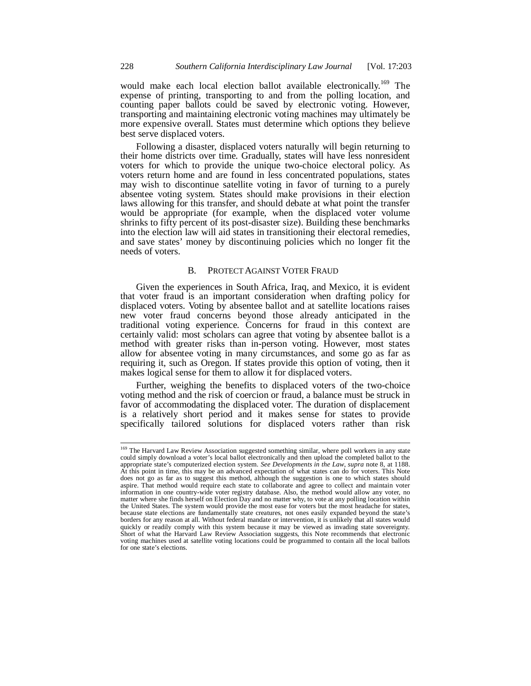would make each local election ballot available electronically.<sup>169</sup> The expense of printing, transporting to and from the polling location, and counting paper ballots could be saved by electronic voting. However, transporting and maintaining electronic voting machines may ultimately be more expensive overall. States must determine which options they believe best serve displaced voters.

Following a disaster, displaced voters naturally will begin returning to their home districts over time. Gradually, states will have less nonresident voters for which to provide the unique two-choice electoral policy. As voters return home and are found in less concentrated populations, states may wish to discontinue satellite voting in favor of turning to a purely absentee voting system. States should make provisions in their election laws allowing for this transfer, and should debate at what point the transfer would be appropriate (for example, when the displaced voter volume shrinks to fifty percent of its post-disaster size). Building these benchmarks into the election law will aid states in transitioning their electoral remedies, and save states' money by discontinuing policies which no longer fit the needs of voters.

## B. PROTECT AGAINST VOTER FRAUD

Given the experiences in South Africa, Iraq, and Mexico, it is evident that voter fraud is an important consideration when drafting policy for displaced voters. Voting by absentee ballot and at satellite locations raises new voter fraud concerns beyond those already anticipated in the traditional voting experience. Concerns for fraud in this context are certainly valid: most scholars can agree that voting by absentee ballot is a method with greater risks than in-person voting. However, most states allow for absentee voting in many circumstances, and some go as far as requiring it, such as Oregon. If states provide this option of voting, then it makes logical sense for them to allow it for displaced voters.

Further, weighing the benefits to displaced voters of the two-choice voting method and the risk of coercion or fraud, a balance must be struck in favor of accommodating the displaced voter. The duration of displacement is a relatively short period and it makes sense for states to provide specifically tailored solutions for displaced voters rather than risk

<sup>&</sup>lt;sup>169</sup> The Harvard Law Review Association suggested something similar, where poll workers in any state could simply download a voter's local ballot electronically and then upload the completed ballot to the appropriate state's computerized election system. See Developments in the Law, supra note 8, at 1188.<br>At this point in time, this may be an advanced expectation of what states can do for voters. This Note does not go as far as to suggest this method, although the suggestion is one to which states should aspire. That method would require each state to collaborate and agree to collect and maintain voter information in one country-wide voter registry database. Also, the method would allow any voter, no matter where she finds herself on Election Day and no matter why, to vote at any polling location within the United States. The system would provide the most ease for voters but the most headache for states, because state elections are fundamentally state creatures, not ones easily expanded beyond the state's borders for any reason at all. Without federal mandate or intervention, it is unlikely that all states would quickly or readily comply with this system because it may be viewed as invading state sovereignty. Short of what the Harvard Law Review Association suggests, this Note recommends that electronic voting machines used at satellite voting locations could be programmed to contain all the local ballots for one state's elections.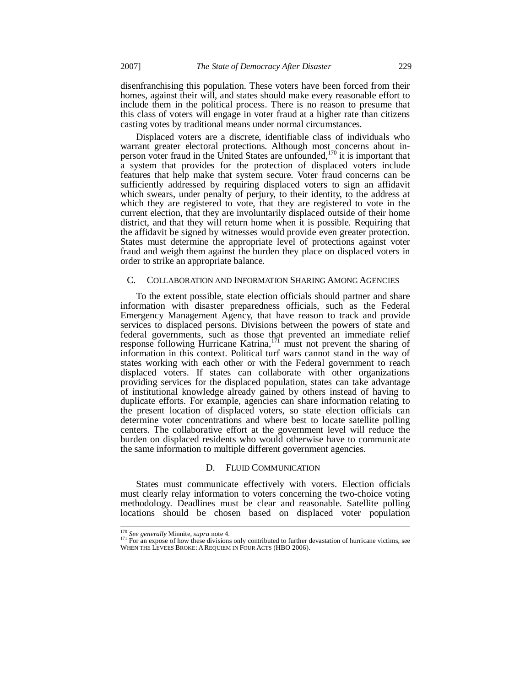disenfranchising this population. These voters have been forced from their homes, against their will, and states should make every reasonable effort to include them in the political process. There is no reason to presume that this class of voters will engage in voter fraud at a higher rate than citizens casting votes by traditional means under normal circumstances.

Displaced voters are a discrete, identifiable class of individuals who warrant greater electoral protections. Although most concerns about inperson voter fraud in the United States are unfounded,  $170$  it is important that a system that provides for the protection of displaced voters include features that help make that system secure. Voter fraud concerns can be sufficiently addressed by requiring displaced voters to sign an affidavit which swears, under penalty of perjury, to their identity, to the address at which they are registered to vote, that they are registered to vote in the current election, that they are involuntarily displaced outside of their home district, and that they will return home when it is possible. Requiring that the affidavit be signed by witnesses would provide even greater protection. States must determine the appropriate level of protections against voter fraud and weigh them against the burden they place on displaced voters in order to strike an appropriate balance.

#### C. COLLABORATION AND INFORMATION SHARING AMONG AGENCIES

To the extent possible, state election officials should partner and share information with disaster preparedness officials, such as the Federal Emergency Management Agency, that have reason to track and provide services to displaced persons. Divisions between the powers of state and federal governments, such as those that prevented an immediate relief response following Hurricane Katrina, $171$  must not prevent the sharing of information in this context. Political turf wars cannot stand in the way of states working with each other or with the Federal government to reach displaced voters. If states can collaborate with other organizations providing services for the displaced population, states can take advantage of institutional knowledge already gained by others instead of having to duplicate efforts. For example, agencies can share information relating to the present location of displaced voters, so state election officials can determine voter concentrations and where best to locate satellite polling centers. The collaborative effort at the government level will reduce the burden on displaced residents who would otherwise have to communicate the same information to multiple different government agencies.

#### D. FLUID COMMUNICATION

States must communicate effectively with voters. Election officials must clearly relay information to voters concerning the two-choice voting methodology. Deadlines must be clear and reasonable. Satellite polling locations should be chosen based on displaced voter population

<sup>170</sup> *See generally* Minnite, *supra* note 4.

<sup>&</sup>lt;sup>171</sup> For an expose of how these divisions only contributed to further devastation of hurricane victims, see WHEN THE LEVEES BROKE: A REQUIEM IN FOUR ACTS (HBO 2006).